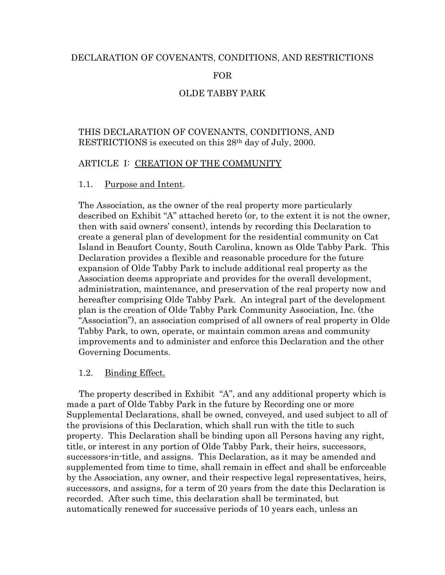### DECLARATION OF COVENANTS, CONDITIONS, AND RESTRICTIONS

## FOR

# OLDE TABBY PARK

# THIS DECLARATION OF COVENANTS, CONDITIONS, AND RESTRICTIONS is executed on this 28th day of July, 2000.

## ARTICLE I: CREATION OF THE COMMUNITY

### 1.1. Purpose and Intent.

The Association, as the owner of the real property more particularly described on Exhibit "A" attached hereto (or, to the extent it is not the owner, then with said owners' consent), intends by recording this Declaration to create a general plan of development for the residential community on Cat Island in Beaufort County, South Carolina, known as Olde Tabby Park. This Declaration provides a flexible and reasonable procedure for the future expansion of Olde Tabby Park to include additional real property as the Association deems appropriate and provides for the overall development, administration, maintenance, and preservation of the real property now and hereafter comprising Olde Tabby Park. An integral part of the development plan is the creation of Olde Tabby Park Community Association, Inc. (the "Association"), an association comprised of all owners of real property in Olde Tabby Park, to own, operate, or maintain common areas and community improvements and to administer and enforce this Declaration and the other Governing Documents.

### 1.2. Binding Effect.

 The property described in Exhibit "A", and any additional property which is made a part of Olde Tabby Park in the future by Recording one or more Supplemental Declarations, shall be owned, conveyed, and used subject to all of the provisions of this Declaration, which shall run with the title to such property. This Declaration shall be binding upon all Persons having any right, title, or interest in any portion of Olde Tabby Park, their heirs, successors, successors-in-title, and assigns. This Declaration, as it may be amended and supplemented from time to time, shall remain in effect and shall be enforceable by the Association, any owner, and their respective legal representatives, heirs, successors, and assigns, for a term of 20 years from the date this Declaration is recorded. After such time, this declaration shall be terminated, but automatically renewed for successive periods of 10 years each, unless an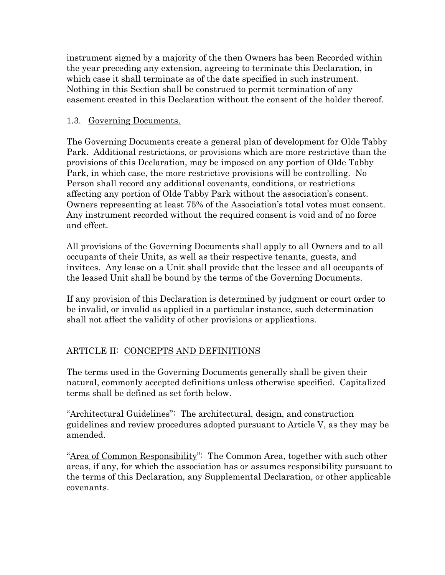instrument signed by a majority of the then Owners has been Recorded within the year preceding any extension, agreeing to terminate this Declaration, in which case it shall terminate as of the date specified in such instrument. Nothing in this Section shall be construed to permit termination of any easement created in this Declaration without the consent of the holder thereof.

# 1.3. Governing Documents.

The Governing Documents create a general plan of development for Olde Tabby Park. Additional restrictions, or provisions which are more restrictive than the provisions of this Declaration, may be imposed on any portion of Olde Tabby Park, in which case, the more restrictive provisions will be controlling. No Person shall record any additional covenants, conditions, or restrictions affecting any portion of Olde Tabby Park without the association's consent. Owners representing at least 75% of the Association's total votes must consent. Any instrument recorded without the required consent is void and of no force and effect.

All provisions of the Governing Documents shall apply to all Owners and to all occupants of their Units, as well as their respective tenants, guests, and invitees. Any lease on a Unit shall provide that the lessee and all occupants of the leased Unit shall be bound by the terms of the Governing Documents.

If any provision of this Declaration is determined by judgment or court order to be invalid, or invalid as applied in a particular instance, such determination shall not affect the validity of other provisions or applications.

# ARTICLE II: CONCEPTS AND DEFINITIONS

The terms used in the Governing Documents generally shall be given their natural, commonly accepted definitions unless otherwise specified. Capitalized terms shall be defined as set forth below.

"Architectural Guidelines": The architectural, design, and construction guidelines and review procedures adopted pursuant to Article V, as they may be amended.

"Area of Common Responsibility": The Common Area, together with such other areas, if any, for which the association has or assumes responsibility pursuant to the terms of this Declaration, any Supplemental Declaration, or other applicable covenants.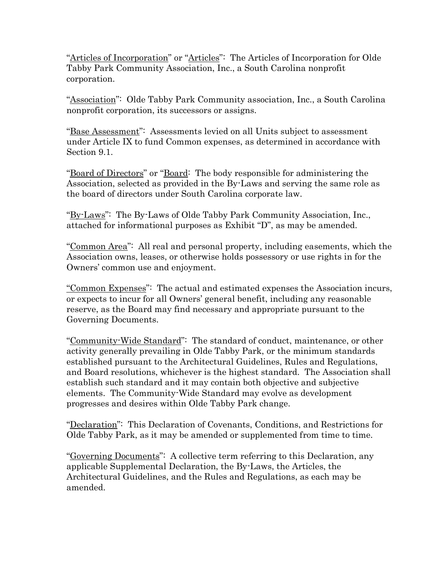"Articles of Incorporation" or "Articles": The Articles of Incorporation for Olde Tabby Park Community Association, Inc., a South Carolina nonprofit corporation.

"Association": Olde Tabby Park Community association, Inc., a South Carolina nonprofit corporation, its successors or assigns.

"Base Assessment": Assessments levied on all Units subject to assessment under Article IX to fund Common expenses, as determined in accordance with Section 9.1.

"Board of Directors" or "Board: The body responsible for administering the Association, selected as provided in the By-Laws and serving the same role as the board of directors under South Carolina corporate law.

"By-Laws": The By-Laws of Olde Tabby Park Community Association, Inc., attached for informational purposes as Exhibit "D", as may be amended.

"Common Area": All real and personal property, including easements, which the Association owns, leases, or otherwise holds possessory or use rights in for the Owners' common use and enjoyment.

"Common Expenses": The actual and estimated expenses the Association incurs, or expects to incur for all Owners' general benefit, including any reasonable reserve, as the Board may find necessary and appropriate pursuant to the Governing Documents.

"Community-Wide Standard": The standard of conduct, maintenance, or other activity generally prevailing in Olde Tabby Park, or the minimum standards established pursuant to the Architectural Guidelines, Rules and Regulations, and Board resolutions, whichever is the highest standard. The Association shall establish such standard and it may contain both objective and subjective elements. The Community-Wide Standard may evolve as development progresses and desires within Olde Tabby Park change.

"Declaration": This Declaration of Covenants, Conditions, and Restrictions for Olde Tabby Park, as it may be amended or supplemented from time to time.

"Governing Documents": A collective term referring to this Declaration, any applicable Supplemental Declaration, the By-Laws, the Articles, the Architectural Guidelines, and the Rules and Regulations, as each may be amended.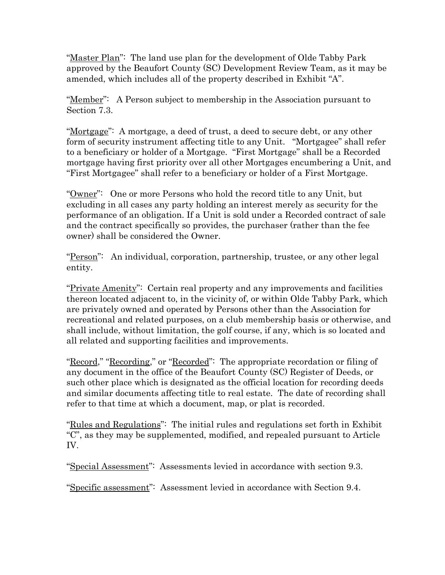"Master Plan": The land use plan for the development of Olde Tabby Park approved by the Beaufort County (SC) Development Review Team, as it may be amended, which includes all of the property described in Exhibit "A".

"Member": A Person subject to membership in the Association pursuant to Section 7.3.

"Mortgage": A mortgage, a deed of trust, a deed to secure debt, or any other form of security instrument affecting title to any Unit. "Mortgagee" shall refer to a beneficiary or holder of a Mortgage. "First Mortgage" shall be a Recorded mortgage having first priority over all other Mortgages encumbering a Unit, and "First Mortgagee" shall refer to a beneficiary or holder of a First Mortgage.

"Owner": One or more Persons who hold the record title to any Unit, but excluding in all cases any party holding an interest merely as security for the performance of an obligation. If a Unit is sold under a Recorded contract of sale and the contract specifically so provides, the purchaser (rather than the fee owner) shall be considered the Owner.

"Person": An individual, corporation, partnership, trustee, or any other legal entity.

"Private Amenity": Certain real property and any improvements and facilities thereon located adjacent to, in the vicinity of, or within Olde Tabby Park, which are privately owned and operated by Persons other than the Association for recreational and related purposes, on a club membership basis or otherwise, and shall include, without limitation, the golf course, if any, which is so located and all related and supporting facilities and improvements.

"Record," "Recording," or "Recorded": The appropriate recordation or filing of any document in the office of the Beaufort County (SC) Register of Deeds, or such other place which is designated as the official location for recording deeds and similar documents affecting title to real estate. The date of recording shall refer to that time at which a document, map, or plat is recorded.

"Rules and Regulations": The initial rules and regulations set forth in Exhibit "C", as they may be supplemented, modified, and repealed pursuant to Article IV.

"Special Assessment": Assessments levied in accordance with section 9.3.

"Specific assessment": Assessment levied in accordance with Section 9.4.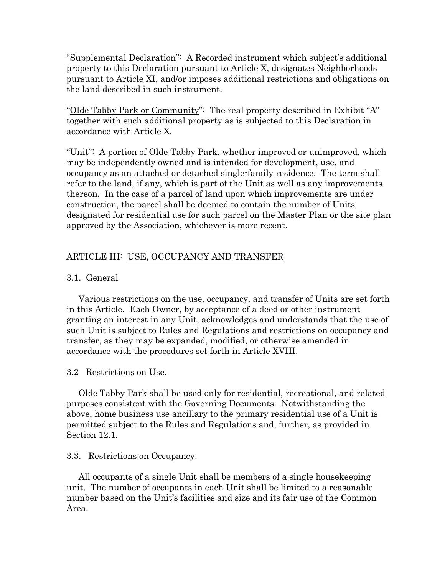"Supplemental Declaration": A Recorded instrument which subject's additional property to this Declaration pursuant to Article X, designates Neighborhoods pursuant to Article XI, and/or imposes additional restrictions and obligations on the land described in such instrument.

"Olde Tabby Park or Community": The real property described in Exhibit "A" together with such additional property as is subjected to this Declaration in accordance with Article X.

"Unit": A portion of Olde Tabby Park, whether improved or unimproved, which may be independently owned and is intended for development, use, and occupancy as an attached or detached single-family residence. The term shall refer to the land, if any, which is part of the Unit as well as any improvements thereon. In the case of a parcel of land upon which improvements are under construction, the parcel shall be deemed to contain the number of Units designated for residential use for such parcel on the Master Plan or the site plan approved by the Association, whichever is more recent.

# ARTICLE III: USE, OCCUPANCY AND TRANSFER

# 3.1. General

Various restrictions on the use, occupancy, and transfer of Units are set forth in this Article. Each Owner, by acceptance of a deed or other instrument granting an interest in any Unit, acknowledges and understands that the use of such Unit is subject to Rules and Regulations and restrictions on occupancy and transfer, as they may be expanded, modified, or otherwise amended in accordance with the procedures set forth in Article XVIII.

# 3.2 Restrictions on Use.

Olde Tabby Park shall be used only for residential, recreational, and related purposes consistent with the Governing Documents. Notwithstanding the above, home business use ancillary to the primary residential use of a Unit is permitted subject to the Rules and Regulations and, further, as provided in Section 12.1.

# 3.3. Restrictions on Occupancy.

All occupants of a single Unit shall be members of a single housekeeping unit. The number of occupants in each Unit shall be limited to a reasonable number based on the Unit's facilities and size and its fair use of the Common Area.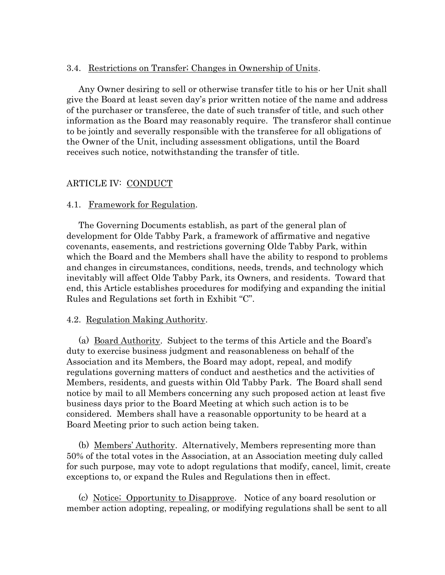# 3.4. Restrictions on Transfer; Changes in Ownership of Units.

Any Owner desiring to sell or otherwise transfer title to his or her Unit shall give the Board at least seven day's prior written notice of the name and address of the purchaser or transferee, the date of such transfer of title, and such other information as the Board may reasonably require. The transferor shall continue to be jointly and severally responsible with the transferee for all obligations of the Owner of the Unit, including assessment obligations, until the Board receives such notice, notwithstanding the transfer of title.

# ARTICLE IV: CONDUCT

# 4.1. Framework for Regulation.

The Governing Documents establish, as part of the general plan of development for Olde Tabby Park, a framework of affirmative and negative covenants, easements, and restrictions governing Olde Tabby Park, within which the Board and the Members shall have the ability to respond to problems and changes in circumstances, conditions, needs, trends, and technology which inevitably will affect Olde Tabby Park, its Owners, and residents. Toward that end, this Article establishes procedures for modifying and expanding the initial Rules and Regulations set forth in Exhibit "C".

# 4.2. Regulation Making Authority.

(a) Board Authority. Subject to the terms of this Article and the Board's duty to exercise business judgment and reasonableness on behalf of the Association and its Members, the Board may adopt, repeal, and modify regulations governing matters of conduct and aesthetics and the activities of Members, residents, and guests within Old Tabby Park. The Board shall send notice by mail to all Members concerning any such proposed action at least five business days prior to the Board Meeting at which such action is to be considered. Members shall have a reasonable opportunity to be heard at a Board Meeting prior to such action being taken.

(b) Members' Authority. Alternatively, Members representing more than 50% of the total votes in the Association, at an Association meeting duly called for such purpose, may vote to adopt regulations that modify, cancel, limit, create exceptions to, or expand the Rules and Regulations then in effect.

(c) Notice; Opportunity to Disapprove. Notice of any board resolution or member action adopting, repealing, or modifying regulations shall be sent to all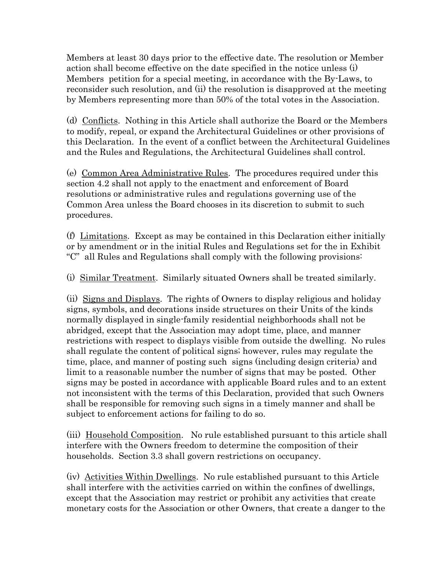Members at least 30 days prior to the effective date. The resolution or Member action shall become effective on the date specified in the notice unless (i) Members petition for a special meeting, in accordance with the By-Laws, to reconsider such resolution, and (ii) the resolution is disapproved at the meeting by Members representing more than 50% of the total votes in the Association.

(d) Conflicts. Nothing in this Article shall authorize the Board or the Members to modify, repeal, or expand the Architectural Guidelines or other provisions of this Declaration. In the event of a conflict between the Architectural Guidelines and the Rules and Regulations, the Architectural Guidelines shall control.

(e) Common Area Administrative Rules. The procedures required under this section 4.2 shall not apply to the enactment and enforcement of Board resolutions or administrative rules and regulations governing use of the Common Area unless the Board chooses in its discretion to submit to such procedures.

(f) Limitations. Except as may be contained in this Declaration either initially or by amendment or in the initial Rules and Regulations set for the in Exhibit "C" all Rules and Regulations shall comply with the following provisions:

(i) Similar Treatment. Similarly situated Owners shall be treated similarly.

(ii) Signs and Displays. The rights of Owners to display religious and holiday signs, symbols, and decorations inside structures on their Units of the kinds normally displayed in single-family residential neighborhoods shall not be abridged, except that the Association may adopt time, place, and manner restrictions with respect to displays visible from outside the dwelling. No rules shall regulate the content of political signs; however, rules may regulate the time, place, and manner of posting such signs (including design criteria) and limit to a reasonable number the number of signs that may be posted. Other signs may be posted in accordance with applicable Board rules and to an extent not inconsistent with the terms of this Declaration, provided that such Owners shall be responsible for removing such signs in a timely manner and shall be subject to enforcement actions for failing to do so.

(iii) Household Composition. No rule established pursuant to this article shall interfere with the Owners freedom to determine the composition of their households. Section 3.3 shall govern restrictions on occupancy.

(iv) Activities Within Dwellings. No rule established pursuant to this Article shall interfere with the activities carried on within the confines of dwellings, except that the Association may restrict or prohibit any activities that create monetary costs for the Association or other Owners, that create a danger to the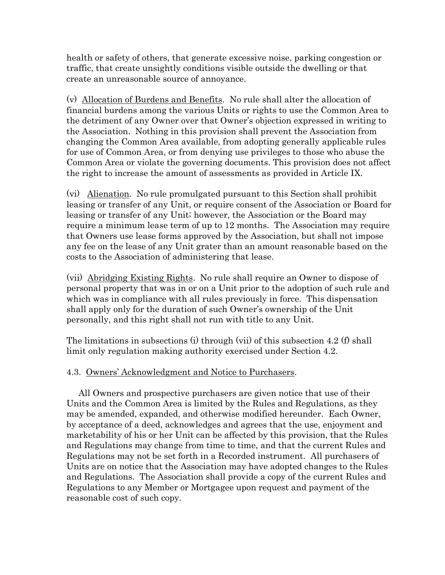health or safety of others, that generate excessive noise, parking congestion or traffic, that create unsightly conditions visible outside the dwelling or that create an unreasonable source of annoyance.

(v) Allocation of Burdens and Benefits. No rule shall alter the allocation of financial burdens among the various Units or rights to use the Common Area to the detriment of any Owner over that Owner's objection expressed in writing to the Association. Nothing in this provision shall prevent the Association from changing the Common Area available, from adopting generally applicable rules for use of Common Area, or from denying use privileges to those who abuse the Common Area or violate the governing documents. This provision does not affect the right to increase the amount of assessments as provided in Article IX.

(vi) Alienation. No rule promulgated pursuant to this Section shall prohibit leasing or transfer of any Unit, or require consent of the Association or Board for leasing or transfer of any Unit; however, the Association or the Board may require a minimum lease term of up to 12 months. The Association may require that Owners use lease forms approved by the Association, but shall not impose any fee on the lease of any Unit grater than an amount reasonable based on the costs to the Association of administering that lease.

(vii) Abridging Existing Rights. No rule shall require an Owner to dispose of personal property that was in or on a Unit prior to the adoption of such rule and which was in compliance with all rules previously in force. This dispensation shall apply only for the duration of such Owner's ownership of the Unit personally, and this right shall not run with title to any Unit.

The limitations in subsections (i) through (vii) of this subsection 4.2 (f) shall limit only regulation making authority exercised under Section 4.2.

# 4.3. Owners' Acknowledgment and Notice to Purchasers.

All Owners and prospective purchasers are given notice that use of their Units and the Common Area is limited by the Rules and Regulations, as they may be amended, expanded, and otherwise modified hereunder. Each Owner, by acceptance of a deed, acknowledges and agrees that the use, enjoyment and marketability of his or her Unit can be affected by this provision, that the Rules and Regulations may change from time to time, and that the current Rules and Regulations may not be set forth in a Recorded instrument. All purchasers of Units are on notice that the Association may have adopted changes to the Rules and Regulations. The Association shall provide a copy of the current Rules and Regulations to any Member or Mortgagee upon request and payment of the reasonable cost of such copy.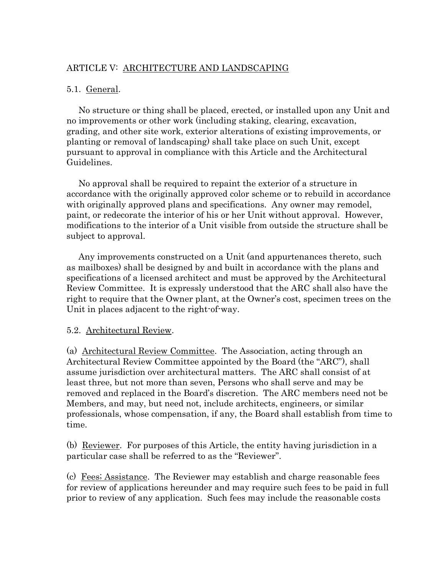# ARTICLE V: ARCHITECTURE AND LANDSCAPING

# 5.1. General.

No structure or thing shall be placed, erected, or installed upon any Unit and no improvements or other work (including staking, clearing, excavation, grading, and other site work, exterior alterations of existing improvements, or planting or removal of landscaping) shall take place on such Unit, except pursuant to approval in compliance with this Article and the Architectural Guidelines.

No approval shall be required to repaint the exterior of a structure in accordance with the originally approved color scheme or to rebuild in accordance with originally approved plans and specifications. Any owner may remodel, paint, or redecorate the interior of his or her Unit without approval. However, modifications to the interior of a Unit visible from outside the structure shall be subject to approval.

Any improvements constructed on a Unit (and appurtenances thereto, such as mailboxes) shall be designed by and built in accordance with the plans and specifications of a licensed architect and must be approved by the Architectural Review Committee. It is expressly understood that the ARC shall also have the right to require that the Owner plant, at the Owner's cost, specimen trees on the Unit in places adjacent to the right-of-way.

# 5.2. Architectural Review.

(a) Architectural Review Committee. The Association, acting through an Architectural Review Committee appointed by the Board (the "ARC"), shall assume jurisdiction over architectural matters. The ARC shall consist of at least three, but not more than seven, Persons who shall serve and may be removed and replaced in the Board's discretion. The ARC members need not be Members, and may, but need not, include architects, engineers, or similar professionals, whose compensation, if any, the Board shall establish from time to time.

(b) Reviewer. For purposes of this Article, the entity having jurisdiction in a particular case shall be referred to as the "Reviewer".

(c) Fees; Assistance. The Reviewer may establish and charge reasonable fees for review of applications hereunder and may require such fees to be paid in full prior to review of any application. Such fees may include the reasonable costs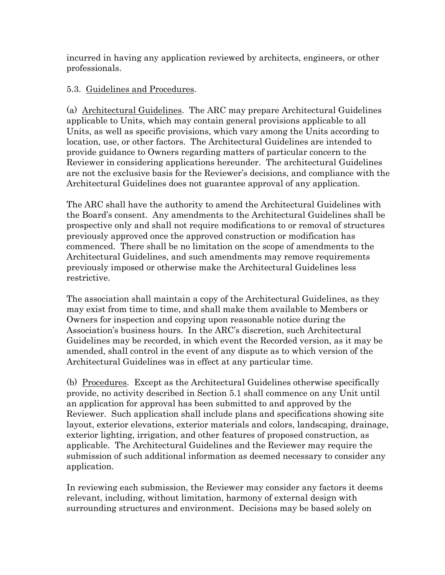incurred in having any application reviewed by architects, engineers, or other professionals.

# 5.3. Guidelines and Procedures.

(a) Architectural Guidelines. The ARC may prepare Architectural Guidelines applicable to Units, which may contain general provisions applicable to all Units, as well as specific provisions, which vary among the Units according to location, use, or other factors. The Architectural Guidelines are intended to provide guidance to Owners regarding matters of particular concern to the Reviewer in considering applications hereunder. The architectural Guidelines are not the exclusive basis for the Reviewer's decisions, and compliance with the Architectural Guidelines does not guarantee approval of any application.

The ARC shall have the authority to amend the Architectural Guidelines with the Board's consent. Any amendments to the Architectural Guidelines shall be prospective only and shall not require modifications to or removal of structures previously approved once the approved construction or modification has commenced. There shall be no limitation on the scope of amendments to the Architectural Guidelines, and such amendments may remove requirements previously imposed or otherwise make the Architectural Guidelines less restrictive.

The association shall maintain a copy of the Architectural Guidelines, as they may exist from time to time, and shall make them available to Members or Owners for inspection and copying upon reasonable notice during the Association's business hours. In the ARC's discretion, such Architectural Guidelines may be recorded, in which event the Recorded version, as it may be amended, shall control in the event of any dispute as to which version of the Architectural Guidelines was in effect at any particular time.

(b) Procedures. Except as the Architectural Guidelines otherwise specifically provide, no activity described in Section 5.1 shall commence on any Unit until an application for approval has been submitted to and approved by the Reviewer. Such application shall include plans and specifications showing site layout, exterior elevations, exterior materials and colors, landscaping, drainage, exterior lighting, irrigation, and other features of proposed construction, as applicable. The Architectural Guidelines and the Reviewer may require the submission of such additional information as deemed necessary to consider any application.

In reviewing each submission, the Reviewer may consider any factors it deems relevant, including, without limitation, harmony of external design with surrounding structures and environment. Decisions may be based solely on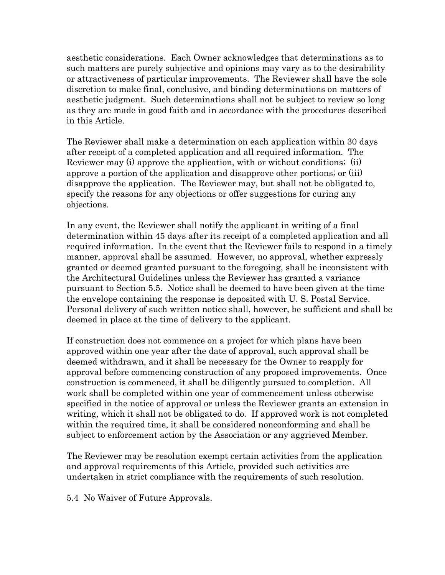aesthetic considerations. Each Owner acknowledges that determinations as to such matters are purely subjective and opinions may vary as to the desirability or attractiveness of particular improvements. The Reviewer shall have the sole discretion to make final, conclusive, and binding determinations on matters of aesthetic judgment. Such determinations shall not be subject to review so long as they are made in good faith and in accordance with the procedures described in this Article.

The Reviewer shall make a determination on each application within 30 days after receipt of a completed application and all required information. The Reviewer may (i) approve the application, with or without conditions; (ii) approve a portion of the application and disapprove other portions; or (iii) disapprove the application. The Reviewer may, but shall not be obligated to, specify the reasons for any objections or offer suggestions for curing any objections.

In any event, the Reviewer shall notify the applicant in writing of a final determination within 45 days after its receipt of a completed application and all required information. In the event that the Reviewer fails to respond in a timely manner, approval shall be assumed. However, no approval, whether expressly granted or deemed granted pursuant to the foregoing, shall be inconsistent with the Architectural Guidelines unless the Reviewer has granted a variance pursuant to Section 5.5. Notice shall be deemed to have been given at the time the envelope containing the response is deposited with U. S. Postal Service. Personal delivery of such written notice shall, however, be sufficient and shall be deemed in place at the time of delivery to the applicant.

If construction does not commence on a project for which plans have been approved within one year after the date of approval, such approval shall be deemed withdrawn, and it shall be necessary for the Owner to reapply for approval before commencing construction of any proposed improvements. Once construction is commenced, it shall be diligently pursued to completion. All work shall be completed within one year of commencement unless otherwise specified in the notice of approval or unless the Reviewer grants an extension in writing, which it shall not be obligated to do. If approved work is not completed within the required time, it shall be considered nonconforming and shall be subject to enforcement action by the Association or any aggrieved Member.

The Reviewer may be resolution exempt certain activities from the application and approval requirements of this Article, provided such activities are undertaken in strict compliance with the requirements of such resolution.

# 5.4 No Waiver of Future Approvals.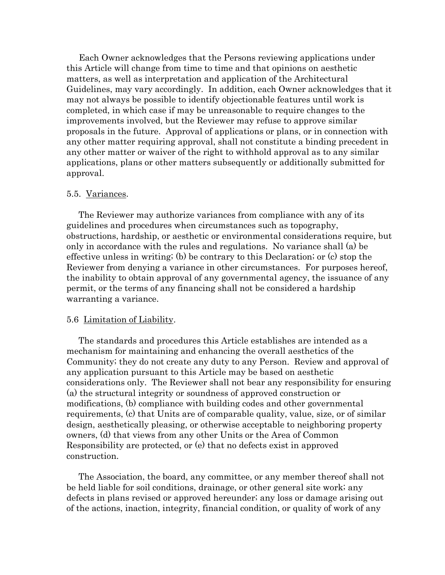Each Owner acknowledges that the Persons reviewing applications under this Article will change from time to time and that opinions on aesthetic matters, as well as interpretation and application of the Architectural Guidelines, may vary accordingly. In addition, each Owner acknowledges that it may not always be possible to identify objectionable features until work is completed, in which case if may be unreasonable to require changes to the improvements involved, but the Reviewer may refuse to approve similar proposals in the future. Approval of applications or plans, or in connection with any other matter requiring approval, shall not constitute a binding precedent in any other matter or waiver of the right to withhold approval as to any similar applications, plans or other matters subsequently or additionally submitted for approval.

#### 5.5. Variances.

The Reviewer may authorize variances from compliance with any of its guidelines and procedures when circumstances such as topography, obstructions, hardship, or aesthetic or environmental considerations require, but only in accordance with the rules and regulations. No variance shall (a) be effective unless in writing; (b) be contrary to this Declaration; or (c) stop the Reviewer from denying a variance in other circumstances. For purposes hereof, the inability to obtain approval of any governmental agency, the issuance of any permit, or the terms of any financing shall not be considered a hardship warranting a variance.

### 5.6 Limitation of Liability.

The standards and procedures this Article establishes are intended as a mechanism for maintaining and enhancing the overall aesthetics of the Community; they do not create any duty to any Person. Review and approval of any application pursuant to this Article may be based on aesthetic considerations only. The Reviewer shall not bear any responsibility for ensuring (a) the structural integrity or soundness of approved construction or modifications, (b) compliance with building codes and other governmental requirements, (c) that Units are of comparable quality, value, size, or of similar design, aesthetically pleasing, or otherwise acceptable to neighboring property owners, (d) that views from any other Units or the Area of Common Responsibility are protected, or (e) that no defects exist in approved construction.

The Association, the board, any committee, or any member thereof shall not be held liable for soil conditions, drainage, or other general site work; any defects in plans revised or approved hereunder; any loss or damage arising out of the actions, inaction, integrity, financial condition, or quality of work of any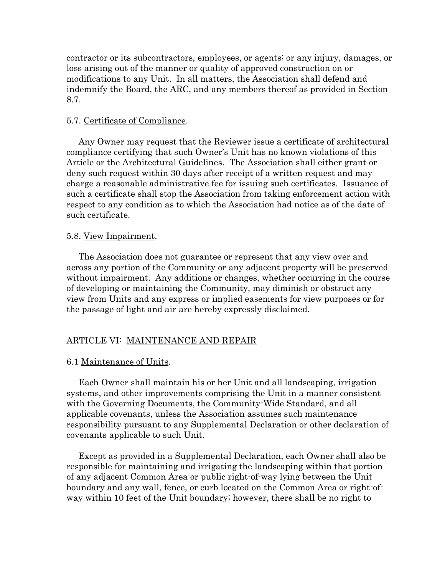contractor or its subcontractors, employees, or agents; or any injury, damages, or loss arising out of the manner or quality of approved construction on or modifications to any Unit. In all matters, the Association shall defend and indemnify the Board, the ARC, and any members thereof as provided in Section 8.7.

## 5.7. Certificate of Compliance.

Any Owner may request that the Reviewer issue a certificate of architectural compliance certifying that such Owner's Unit has no known violations of this Article or the Architectural Guidelines. The Association shall either grant or deny such request within 30 days after receipt of a written request and may charge a reasonable administrative fee for issuing such certificates. Issuance of such a certificate shall stop the Association from taking enforcement action with respect to any condition as to which the Association had notice as of the date of such certificate.

### 5.8. View Impairment.

The Association does not guarantee or represent that any view over and across any portion of the Community or any adjacent property will be preserved without impairment. Any additions or changes, whether occurring in the course of developing or maintaining the Community, may diminish or obstruct any view from Units and any express or implied easements for view purposes or for the passage of light and air are hereby expressly disclaimed.

# ARTICLE VI: MAINTENANCE AND REPAIR

# 6.1 Maintenance of Units.

Each Owner shall maintain his or her Unit and all landscaping, irrigation systems, and other improvements comprising the Unit in a manner consistent with the Governing Documents, the Community-Wide Standard, and all applicable covenants, unless the Association assumes such maintenance responsibility pursuant to any Supplemental Declaration or other declaration of covenants applicable to such Unit.

Except as provided in a Supplemental Declaration, each Owner shall also be responsible for maintaining and irrigating the landscaping within that portion of any adjacent Common Area or public right-of-way lying between the Unit boundary and any wall, fence, or curb located on the Common Area or right-ofway within 10 feet of the Unit boundary; however, there shall be no right to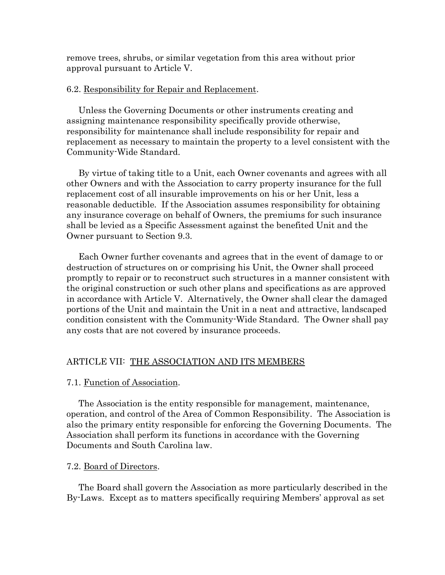remove trees, shrubs, or similar vegetation from this area without prior approval pursuant to Article V.

# 6.2. Responsibility for Repair and Replacement.

Unless the Governing Documents or other instruments creating and assigning maintenance responsibility specifically provide otherwise, responsibility for maintenance shall include responsibility for repair and replacement as necessary to maintain the property to a level consistent with the Community-Wide Standard.

By virtue of taking title to a Unit, each Owner covenants and agrees with all other Owners and with the Association to carry property insurance for the full replacement cost of all insurable improvements on his or her Unit, less a reasonable deductible. If the Association assumes responsibility for obtaining any insurance coverage on behalf of Owners, the premiums for such insurance shall be levied as a Specific Assessment against the benefited Unit and the Owner pursuant to Section 9.3.

Each Owner further covenants and agrees that in the event of damage to or destruction of structures on or comprising his Unit, the Owner shall proceed promptly to repair or to reconstruct such structures in a manner consistent with the original construction or such other plans and specifications as are approved in accordance with Article V. Alternatively, the Owner shall clear the damaged portions of the Unit and maintain the Unit in a neat and attractive, landscaped condition consistent with the Community-Wide Standard. The Owner shall pay any costs that are not covered by insurance proceeds.

#### ARTICLE VII: THE ASSOCIATION AND ITS MEMBERS

#### 7.1. Function of Association.

The Association is the entity responsible for management, maintenance, operation, and control of the Area of Common Responsibility. The Association is also the primary entity responsible for enforcing the Governing Documents. The Association shall perform its functions in accordance with the Governing Documents and South Carolina law.

### 7.2. Board of Directors.

The Board shall govern the Association as more particularly described in the By-Laws. Except as to matters specifically requiring Members' approval as set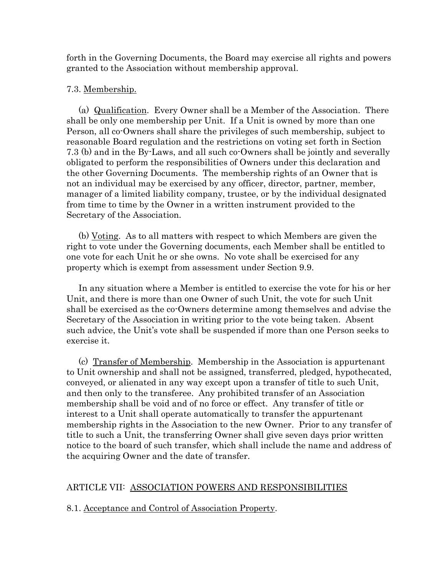forth in the Governing Documents, the Board may exercise all rights and powers granted to the Association without membership approval.

### 7.3. Membership.

(a) Qualification. Every Owner shall be a Member of the Association. There shall be only one membership per Unit. If a Unit is owned by more than one Person, all co-Owners shall share the privileges of such membership, subject to reasonable Board regulation and the restrictions on voting set forth in Section 7.3 (b) and in the By-Laws, and all such co-Owners shall be jointly and severally obligated to perform the responsibilities of Owners under this declaration and the other Governing Documents. The membership rights of an Owner that is not an individual may be exercised by any officer, director, partner, member, manager of a limited liability company, trustee, or by the individual designated from time to time by the Owner in a written instrument provided to the Secretary of the Association.

(b) Voting. As to all matters with respect to which Members are given the right to vote under the Governing documents, each Member shall be entitled to one vote for each Unit he or she owns. No vote shall be exercised for any property which is exempt from assessment under Section 9.9.

In any situation where a Member is entitled to exercise the vote for his or her Unit, and there is more than one Owner of such Unit, the vote for such Unit shall be exercised as the co-Owners determine among themselves and advise the Secretary of the Association in writing prior to the vote being taken. Absent such advice, the Unit's vote shall be suspended if more than one Person seeks to exercise it.

(c) Transfer of Membership. Membership in the Association is appurtenant to Unit ownership and shall not be assigned, transferred, pledged, hypothecated, conveyed, or alienated in any way except upon a transfer of title to such Unit, and then only to the transferee. Any prohibited transfer of an Association membership shall be void and of no force or effect. Any transfer of title or interest to a Unit shall operate automatically to transfer the appurtenant membership rights in the Association to the new Owner. Prior to any transfer of title to such a Unit, the transferring Owner shall give seven days prior written notice to the board of such transfer, which shall include the name and address of the acquiring Owner and the date of transfer.

# ARTICLE VII: ASSOCIATION POWERS AND RESPONSIBILITIES

### 8.1. Acceptance and Control of Association Property.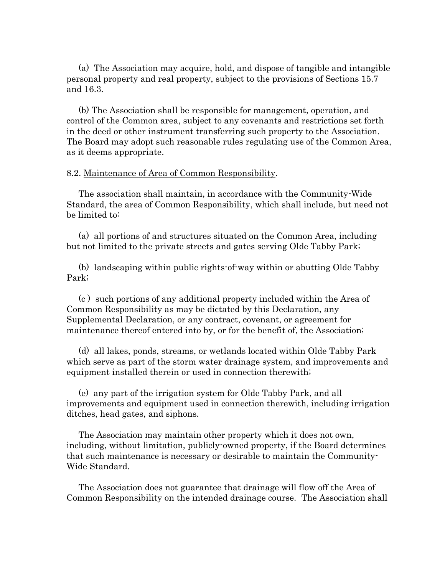(a) The Association may acquire, hold, and dispose of tangible and intangible personal property and real property, subject to the provisions of Sections 15.7 and 16.3.

(b) The Association shall be responsible for management, operation, and control of the Common area, subject to any covenants and restrictions set forth in the deed or other instrument transferring such property to the Association. The Board may adopt such reasonable rules regulating use of the Common Area, as it deems appropriate.

### 8.2. Maintenance of Area of Common Responsibility.

The association shall maintain, in accordance with the Community-Wide Standard, the area of Common Responsibility, which shall include, but need not be limited to:

(a) all portions of and structures situated on the Common Area, including but not limited to the private streets and gates serving Olde Tabby Park;

(b) landscaping within public rights-of-way within or abutting Olde Tabby Park;

(c ) such portions of any additional property included within the Area of Common Responsibility as may be dictated by this Declaration, any Supplemental Declaration, or any contract, covenant, or agreement for maintenance thereof entered into by, or for the benefit of, the Association;

(d) all lakes, ponds, streams, or wetlands located within Olde Tabby Park which serve as part of the storm water drainage system, and improvements and equipment installed therein or used in connection therewith;

(e) any part of the irrigation system for Olde Tabby Park, and all improvements and equipment used in connection therewith, including irrigation ditches, head gates, and siphons.

The Association may maintain other property which it does not own, including, without limitation, publicly-owned property, if the Board determines that such maintenance is necessary or desirable to maintain the Community-Wide Standard.

The Association does not guarantee that drainage will flow off the Area of Common Responsibility on the intended drainage course. The Association shall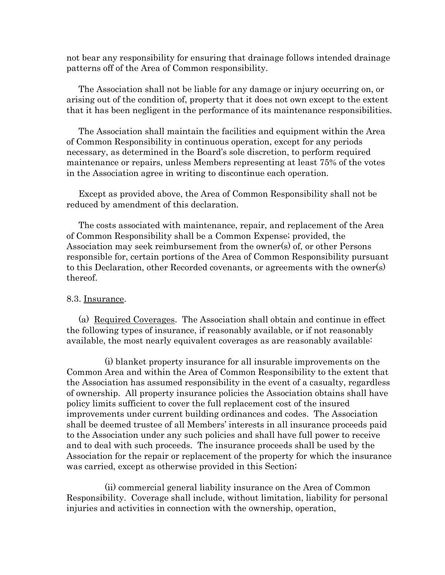not bear any responsibility for ensuring that drainage follows intended drainage patterns off of the Area of Common responsibility.

The Association shall not be liable for any damage or injury occurring on, or arising out of the condition of, property that it does not own except to the extent that it has been negligent in the performance of its maintenance responsibilities.

The Association shall maintain the facilities and equipment within the Area of Common Responsibility in continuous operation, except for any periods necessary, as determined in the Board's sole discretion, to perform required maintenance or repairs, unless Members representing at least 75% of the votes in the Association agree in writing to discontinue each operation.

Except as provided above, the Area of Common Responsibility shall not be reduced by amendment of this declaration.

The costs associated with maintenance, repair, and replacement of the Area of Common Responsibility shall be a Common Expense; provided, the Association may seek reimbursement from the owner(s) of, or other Persons responsible for, certain portions of the Area of Common Responsibility pursuant to this Declaration, other Recorded covenants, or agreements with the owner(s) thereof.

#### 8.3. Insurance.

(a) Required Coverages. The Association shall obtain and continue in effect the following types of insurance, if reasonably available, or if not reasonably available, the most nearly equivalent coverages as are reasonably available:

(i) blanket property insurance for all insurable improvements on the Common Area and within the Area of Common Responsibility to the extent that the Association has assumed responsibility in the event of a casualty, regardless of ownership. All property insurance policies the Association obtains shall have policy limits sufficient to cover the full replacement cost of the insured improvements under current building ordinances and codes. The Association shall be deemed trustee of all Members' interests in all insurance proceeds paid to the Association under any such policies and shall have full power to receive and to deal with such proceeds. The insurance proceeds shall be used by the Association for the repair or replacement of the property for which the insurance was carried, except as otherwise provided in this Section;

(ii) commercial general liability insurance on the Area of Common Responsibility. Coverage shall include, without limitation, liability for personal injuries and activities in connection with the ownership, operation,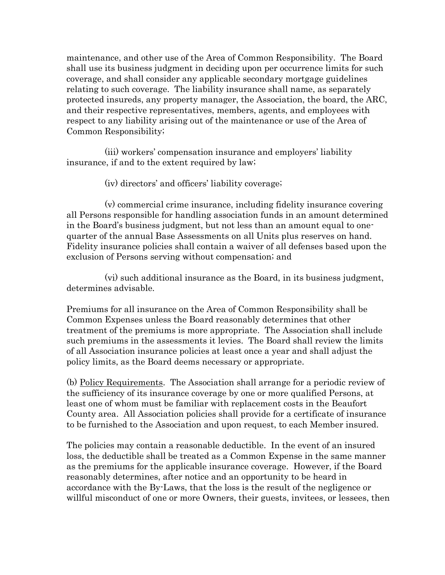maintenance, and other use of the Area of Common Responsibility. The Board shall use its business judgment in deciding upon per occurrence limits for such coverage, and shall consider any applicable secondary mortgage guidelines relating to such coverage. The liability insurance shall name, as separately protected insureds, any property manager, the Association, the board, the ARC, and their respective representatives, members, agents, and employees with respect to any liability arising out of the maintenance or use of the Area of Common Responsibility;

(iii) workers' compensation insurance and employers' liability insurance, if and to the extent required by law;

(iv) directors' and officers' liability coverage;

(v) commercial crime insurance, including fidelity insurance covering all Persons responsible for handling association funds in an amount determined in the Board's business judgment, but not less than an amount equal to onequarter of the annual Base Assessments on all Units plus reserves on hand. Fidelity insurance policies shall contain a waiver of all defenses based upon the exclusion of Persons serving without compensation; and

(vi) such additional insurance as the Board, in its business judgment, determines advisable.

Premiums for all insurance on the Area of Common Responsibility shall be Common Expenses unless the Board reasonably determines that other treatment of the premiums is more appropriate. The Association shall include such premiums in the assessments it levies. The Board shall review the limits of all Association insurance policies at least once a year and shall adjust the policy limits, as the Board deems necessary or appropriate.

(b) Policy Requirements. The Association shall arrange for a periodic review of the sufficiency of its insurance coverage by one or more qualified Persons, at least one of whom must be familiar with replacement costs in the Beaufort County area. All Association policies shall provide for a certificate of insurance to be furnished to the Association and upon request, to each Member insured.

The policies may contain a reasonable deductible. In the event of an insured loss, the deductible shall be treated as a Common Expense in the same manner as the premiums for the applicable insurance coverage. However, if the Board reasonably determines, after notice and an opportunity to be heard in accordance with the By-Laws, that the loss is the result of the negligence or willful misconduct of one or more Owners, their guests, invitees, or lessees, then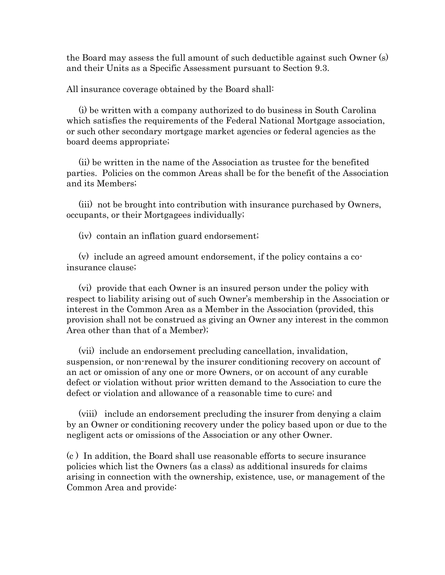the Board may assess the full amount of such deductible against such Owner (s) and their Units as a Specific Assessment pursuant to Section 9.3.

All insurance coverage obtained by the Board shall:

(i) be written with a company authorized to do business in South Carolina which satisfies the requirements of the Federal National Mortgage association, or such other secondary mortgage market agencies or federal agencies as the board deems appropriate;

(ii) be written in the name of the Association as trustee for the benefited parties. Policies on the common Areas shall be for the benefit of the Association and its Members;

(iii) not be brought into contribution with insurance purchased by Owners, occupants, or their Mortgagees individually;

(iv) contain an inflation guard endorsement;

(v) include an agreed amount endorsement, if the policy contains a coinsurance clause;

(vi) provide that each Owner is an insured person under the policy with respect to liability arising out of such Owner's membership in the Association or interest in the Common Area as a Member in the Association (provided, this provision shall not be construed as giving an Owner any interest in the common Area other than that of a Member);

(vii) include an endorsement precluding cancellation, invalidation, suspension, or non-renewal by the insurer conditioning recovery on account of an act or omission of any one or more Owners, or on account of any curable defect or violation without prior written demand to the Association to cure the defect or violation and allowance of a reasonable time to cure; and

(viii) include an endorsement precluding the insurer from denying a claim by an Owner or conditioning recovery under the policy based upon or due to the negligent acts or omissions of the Association or any other Owner.

(c ) In addition, the Board shall use reasonable efforts to secure insurance policies which list the Owners (as a class) as additional insureds for claims arising in connection with the ownership, existence, use, or management of the Common Area and provide: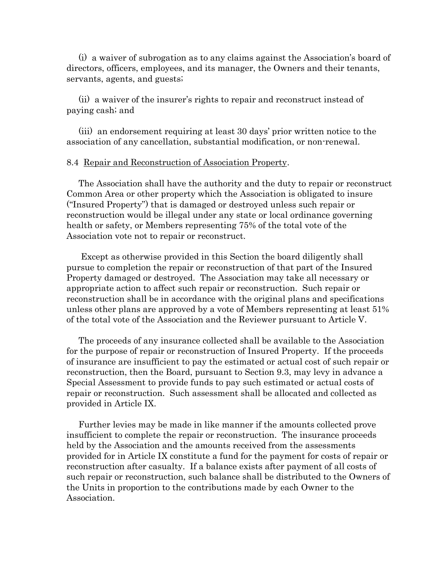(i) a waiver of subrogation as to any claims against the Association's board of directors, officers, employees, and its manager, the Owners and their tenants, servants, agents, and guests;

(ii) a waiver of the insurer's rights to repair and reconstruct instead of paying cash; and

(iii) an endorsement requiring at least 30 days' prior written notice to the association of any cancellation, substantial modification, or non-renewal.

#### 8.4 Repair and Reconstruction of Association Property.

The Association shall have the authority and the duty to repair or reconstruct Common Area or other property which the Association is obligated to insure ("Insured Property") that is damaged or destroyed unless such repair or reconstruction would be illegal under any state or local ordinance governing health or safety, or Members representing 75% of the total vote of the Association vote not to repair or reconstruct.

Except as otherwise provided in this Section the board diligently shall pursue to completion the repair or reconstruction of that part of the Insured Property damaged or destroyed. The Association may take all necessary or appropriate action to affect such repair or reconstruction. Such repair or reconstruction shall be in accordance with the original plans and specifications unless other plans are approved by a vote of Members representing at least 51% of the total vote of the Association and the Reviewer pursuant to Article V.

The proceeds of any insurance collected shall be available to the Association for the purpose of repair or reconstruction of Insured Property. If the proceeds of insurance are insufficient to pay the estimated or actual cost of such repair or reconstruction, then the Board, pursuant to Section 9.3, may levy in advance a Special Assessment to provide funds to pay such estimated or actual costs of repair or reconstruction. Such assessment shall be allocated and collected as provided in Article IX.

Further levies may be made in like manner if the amounts collected prove insufficient to complete the repair or reconstruction. The insurance proceeds held by the Association and the amounts received from the assessments provided for in Article IX constitute a fund for the payment for costs of repair or reconstruction after casualty. If a balance exists after payment of all costs of such repair or reconstruction, such balance shall be distributed to the Owners of the Units in proportion to the contributions made by each Owner to the Association.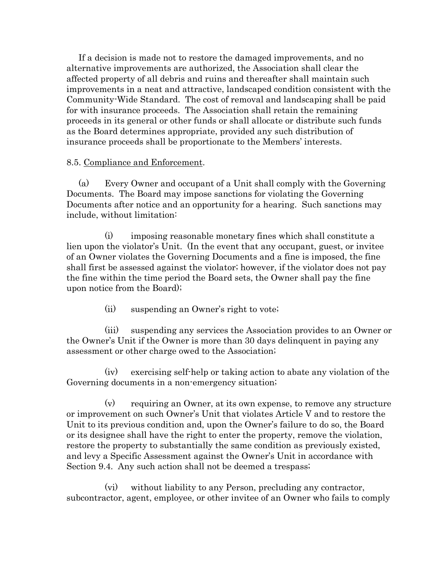If a decision is made not to restore the damaged improvements, and no alternative improvements are authorized, the Association shall clear the affected property of all debris and ruins and thereafter shall maintain such improvements in a neat and attractive, landscaped condition consistent with the Community-Wide Standard. The cost of removal and landscaping shall be paid for with insurance proceeds. The Association shall retain the remaining proceeds in its general or other funds or shall allocate or distribute such funds as the Board determines appropriate, provided any such distribution of insurance proceeds shall be proportionate to the Members' interests.

# 8.5. Compliance and Enforcement.

(a) Every Owner and occupant of a Unit shall comply with the Governing Documents. The Board may impose sanctions for violating the Governing Documents after notice and an opportunity for a hearing. Such sanctions may include, without limitation:

(i) imposing reasonable monetary fines which shall constitute a lien upon the violator's Unit. (In the event that any occupant, guest, or invitee of an Owner violates the Governing Documents and a fine is imposed, the fine shall first be assessed against the violator; however, if the violator does not pay the fine within the time period the Board sets, the Owner shall pay the fine upon notice from the Board);

(ii) suspending an Owner's right to vote;

(iii) suspending any services the Association provides to an Owner or the Owner's Unit if the Owner is more than 30 days delinquent in paying any assessment or other charge owed to the Association;

(iv) exercising self-help or taking action to abate any violation of the Governing documents in a non-emergency situation;

(v) requiring an Owner, at its own expense, to remove any structure or improvement on such Owner's Unit that violates Article V and to restore the Unit to its previous condition and, upon the Owner's failure to do so, the Board or its designee shall have the right to enter the property, remove the violation, restore the property to substantially the same condition as previously existed, and levy a Specific Assessment against the Owner's Unit in accordance with Section 9.4. Any such action shall not be deemed a trespass;

(vi) without liability to any Person, precluding any contractor, subcontractor, agent, employee, or other invitee of an Owner who fails to comply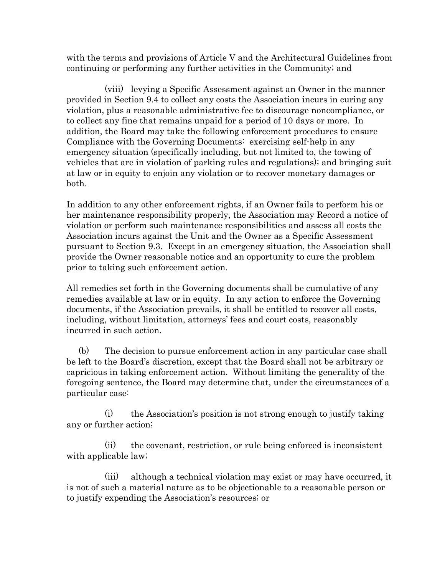with the terms and provisions of Article V and the Architectural Guidelines from continuing or performing any further activities in the Community; and

(viii) levying a Specific Assessment against an Owner in the manner provided in Section 9.4 to collect any costs the Association incurs in curing any violation, plus a reasonable administrative fee to discourage noncompliance, or to collect any fine that remains unpaid for a period of 10 days or more. In addition, the Board may take the following enforcement procedures to ensure Compliance with the Governing Documents: exercising self-help in any emergency situation (specifically including, but not limited to, the towing of vehicles that are in violation of parking rules and regulations); and bringing suit at law or in equity to enjoin any violation or to recover monetary damages or both.

In addition to any other enforcement rights, if an Owner fails to perform his or her maintenance responsibility properly, the Association may Record a notice of violation or perform such maintenance responsibilities and assess all costs the Association incurs against the Unit and the Owner as a Specific Assessment pursuant to Section 9.3. Except in an emergency situation, the Association shall provide the Owner reasonable notice and an opportunity to cure the problem prior to taking such enforcement action.

All remedies set forth in the Governing documents shall be cumulative of any remedies available at law or in equity. In any action to enforce the Governing documents, if the Association prevails, it shall be entitled to recover all costs, including, without limitation, attorneys' fees and court costs, reasonably incurred in such action.

(b) The decision to pursue enforcement action in any particular case shall be left to the Board's discretion, except that the Board shall not be arbitrary or capricious in taking enforcement action. Without limiting the generality of the foregoing sentence, the Board may determine that, under the circumstances of a particular case:

(i) the Association's position is not strong enough to justify taking any or further action;

(ii) the covenant, restriction, or rule being enforced is inconsistent with applicable law;

(iii) although a technical violation may exist or may have occurred, it is not of such a material nature as to be objectionable to a reasonable person or to justify expending the Association's resources; or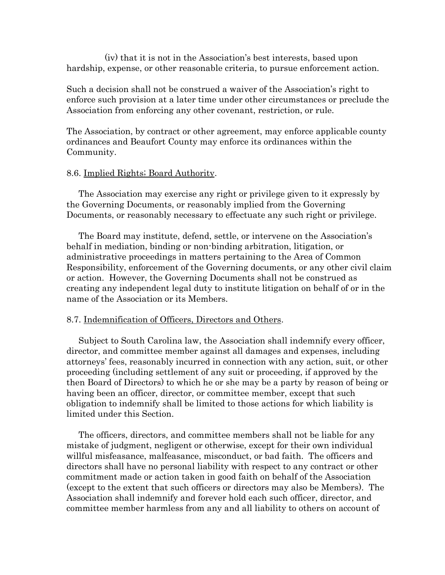(iv) that it is not in the Association's best interests, based upon hardship, expense, or other reasonable criteria, to pursue enforcement action.

Such a decision shall not be construed a waiver of the Association's right to enforce such provision at a later time under other circumstances or preclude the Association from enforcing any other covenant, restriction, or rule.

The Association, by contract or other agreement, may enforce applicable county ordinances and Beaufort County may enforce its ordinances within the Community.

### 8.6. Implied Rights; Board Authority.

The Association may exercise any right or privilege given to it expressly by the Governing Documents, or reasonably implied from the Governing Documents, or reasonably necessary to effectuate any such right or privilege.

The Board may institute, defend, settle, or intervene on the Association's behalf in mediation, binding or non-binding arbitration, litigation, or administrative proceedings in matters pertaining to the Area of Common Responsibility, enforcement of the Governing documents, or any other civil claim or action. However, the Governing Documents shall not be construed as creating any independent legal duty to institute litigation on behalf of or in the name of the Association or its Members.

### 8.7. Indemnification of Officers, Directors and Others.

Subject to South Carolina law, the Association shall indemnify every officer, director, and committee member against all damages and expenses, including attorneys' fees, reasonably incurred in connection with any action, suit, or other proceeding (including settlement of any suit or proceeding, if approved by the then Board of Directors) to which he or she may be a party by reason of being or having been an officer, director, or committee member, except that such obligation to indemnify shall be limited to those actions for which liability is limited under this Section.

The officers, directors, and committee members shall not be liable for any mistake of judgment, negligent or otherwise, except for their own individual willful misfeasance, malfeasance, misconduct, or bad faith. The officers and directors shall have no personal liability with respect to any contract or other commitment made or action taken in good faith on behalf of the Association (except to the extent that such officers or directors may also be Members). The Association shall indemnify and forever hold each such officer, director, and committee member harmless from any and all liability to others on account of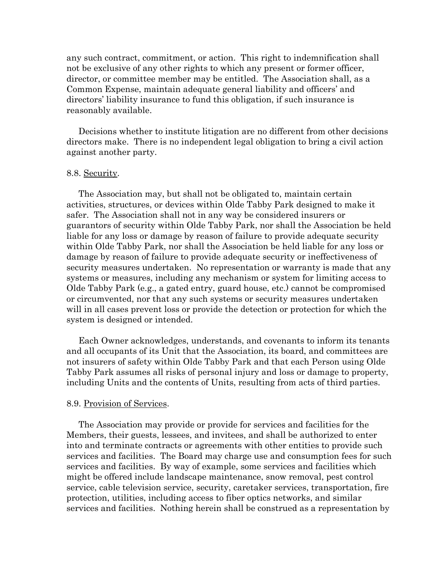any such contract, commitment, or action. This right to indemnification shall not be exclusive of any other rights to which any present or former officer, director, or committee member may be entitled. The Association shall, as a Common Expense, maintain adequate general liability and officers' and directors' liability insurance to fund this obligation, if such insurance is reasonably available.

Decisions whether to institute litigation are no different from other decisions directors make. There is no independent legal obligation to bring a civil action against another party.

#### 8.8. Security.

The Association may, but shall not be obligated to, maintain certain activities, structures, or devices within Olde Tabby Park designed to make it safer. The Association shall not in any way be considered insurers or guarantors of security within Olde Tabby Park, nor shall the Association be held liable for any loss or damage by reason of failure to provide adequate security within Olde Tabby Park, nor shall the Association be held liable for any loss or damage by reason of failure to provide adequate security or ineffectiveness of security measures undertaken. No representation or warranty is made that any systems or measures, including any mechanism or system for limiting access to Olde Tabby Park (e.g., a gated entry, guard house, etc.) cannot be compromised or circumvented, nor that any such systems or security measures undertaken will in all cases prevent loss or provide the detection or protection for which the system is designed or intended.

Each Owner acknowledges, understands, and covenants to inform its tenants and all occupants of its Unit that the Association, its board, and committees are not insurers of safety within Olde Tabby Park and that each Person using Olde Tabby Park assumes all risks of personal injury and loss or damage to property, including Units and the contents of Units, resulting from acts of third parties.

#### 8.9. Provision of Services.

The Association may provide or provide for services and facilities for the Members, their guests, lessees, and invitees, and shall be authorized to enter into and terminate contracts or agreements with other entities to provide such services and facilities. The Board may charge use and consumption fees for such services and facilities. By way of example, some services and facilities which might be offered include landscape maintenance, snow removal, pest control service, cable television service, security, caretaker services, transportation, fire protection, utilities, including access to fiber optics networks, and similar services and facilities. Nothing herein shall be construed as a representation by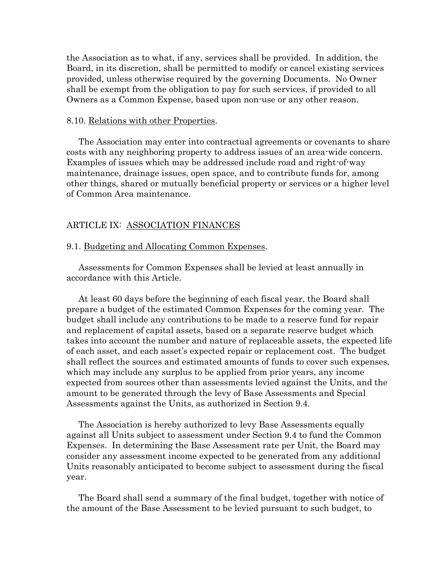the Association as to what, if any, services shall be provided. In addition, the Board, in its discretion, shall be permitted to modify or cancel existing services provided, unless otherwise required by the governing Documents. No Owner shall be exempt from the obligation to pay for such services, if provided to all Owners as a Common Expense, based upon non-use or any other reason.

### 8.10. Relations with other Properties.

The Association may enter into contractual agreements or covenants to share costs with any neighboring property to address issues of an area-wide concern. Examples of issues which may be addressed include road and right-of-way maintenance, drainage issues, open space, and to contribute funds for, among other things, shared or mutually beneficial property or services or a higher level of Common Area maintenance.

### ARTICLE IX: ASSOCIATION FINANCES

#### 9.1. Budgeting and Allocating Common Expenses.

Assessments for Common Expenses shall be levied at least annually in accordance with this Article.

At least 60 days before the beginning of each fiscal year, the Board shall prepare a budget of the estimated Common Expenses for the coming year. The budget shall include any contributions to be made to a reserve fund for repair and replacement of capital assets, based on a separate reserve budget which takes into account the number and nature of replaceable assets, the expected life of each asset, and each asset's expected repair or replacement cost. The budget shall reflect the sources and estimated amounts of funds to cover such expenses, which may include any surplus to be applied from prior years, any income expected from sources other than assessments levied against the Units, and the amount to be generated through the levy of Base Assessments and Special Assessments against the Units, as authorized in Section 9.4.

The Association is hereby authorized to levy Base Assessments equally against all Units subject to assessment under Section 9.4 to fund the Common Expenses. In determining the Base Assessment rate per Unit, the Board may consider any assessment income expected to be generated from any additional Units reasonably anticipated to become subject to assessment during the fiscal year.

The Board shall send a summary of the final budget, together with notice of the amount of the Base Assessment to be levied pursuant to such budget, to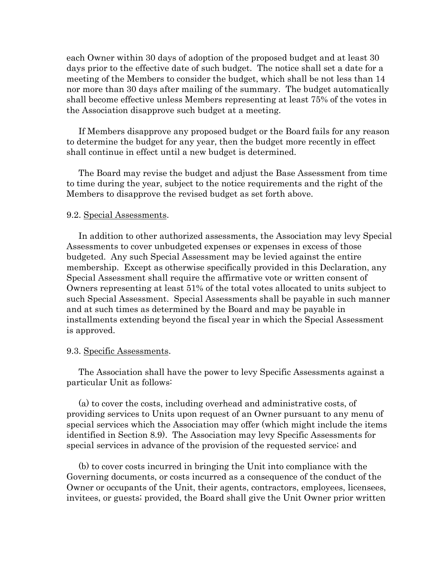each Owner within 30 days of adoption of the proposed budget and at least 30 days prior to the effective date of such budget. The notice shall set a date for a meeting of the Members to consider the budget, which shall be not less than 14 nor more than 30 days after mailing of the summary. The budget automatically shall become effective unless Members representing at least 75% of the votes in the Association disapprove such budget at a meeting.

If Members disapprove any proposed budget or the Board fails for any reason to determine the budget for any year, then the budget more recently in effect shall continue in effect until a new budget is determined.

The Board may revise the budget and adjust the Base Assessment from time to time during the year, subject to the notice requirements and the right of the Members to disapprove the revised budget as set forth above.

### 9.2. Special Assessments.

In addition to other authorized assessments, the Association may levy Special Assessments to cover unbudgeted expenses or expenses in excess of those budgeted. Any such Special Assessment may be levied against the entire membership. Except as otherwise specifically provided in this Declaration, any Special Assessment shall require the affirmative vote or written consent of Owners representing at least 51% of the total votes allocated to units subject to such Special Assessment. Special Assessments shall be payable in such manner and at such times as determined by the Board and may be payable in installments extending beyond the fiscal year in which the Special Assessment is approved.

### 9.3. Specific Assessments.

The Association shall have the power to levy Specific Assessments against a particular Unit as follows:

(a) to cover the costs, including overhead and administrative costs, of providing services to Units upon request of an Owner pursuant to any menu of special services which the Association may offer (which might include the items identified in Section 8.9). The Association may levy Specific Assessments for special services in advance of the provision of the requested service; and

(b) to cover costs incurred in bringing the Unit into compliance with the Governing documents, or costs incurred as a consequence of the conduct of the Owner or occupants of the Unit, their agents, contractors, employees, licensees, invitees, or guests; provided, the Board shall give the Unit Owner prior written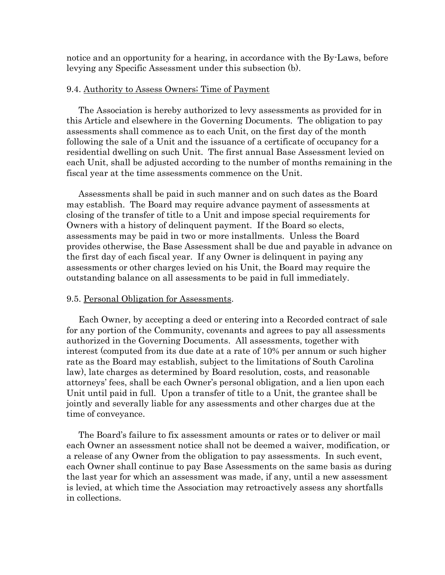notice and an opportunity for a hearing, in accordance with the By-Laws, before levying any Specific Assessment under this subsection (b).

### 9.4. Authority to Assess Owners; Time of Payment

The Association is hereby authorized to levy assessments as provided for in this Article and elsewhere in the Governing Documents. The obligation to pay assessments shall commence as to each Unit, on the first day of the month following the sale of a Unit and the issuance of a certificate of occupancy for a residential dwelling on such Unit. The first annual Base Assessment levied on each Unit, shall be adjusted according to the number of months remaining in the fiscal year at the time assessments commence on the Unit.

Assessments shall be paid in such manner and on such dates as the Board may establish. The Board may require advance payment of assessments at closing of the transfer of title to a Unit and impose special requirements for Owners with a history of delinquent payment. If the Board so elects, assessments may be paid in two or more installments. Unless the Board provides otherwise, the Base Assessment shall be due and payable in advance on the first day of each fiscal year. If any Owner is delinquent in paying any assessments or other charges levied on his Unit, the Board may require the outstanding balance on all assessments to be paid in full immediately.

#### 9.5. Personal Obligation for Assessments.

Each Owner, by accepting a deed or entering into a Recorded contract of sale for any portion of the Community, covenants and agrees to pay all assessments authorized in the Governing Documents. All assessments, together with interest (computed from its due date at a rate of 10% per annum or such higher rate as the Board may establish, subject to the limitations of South Carolina law), late charges as determined by Board resolution, costs, and reasonable attorneys' fees, shall be each Owner's personal obligation, and a lien upon each Unit until paid in full. Upon a transfer of title to a Unit, the grantee shall be jointly and severally liable for any assessments and other charges due at the time of conveyance.

The Board's failure to fix assessment amounts or rates or to deliver or mail each Owner an assessment notice shall not be deemed a waiver, modification, or a release of any Owner from the obligation to pay assessments. In such event, each Owner shall continue to pay Base Assessments on the same basis as during the last year for which an assessment was made, if any, until a new assessment is levied, at which time the Association may retroactively assess any shortfalls in collections.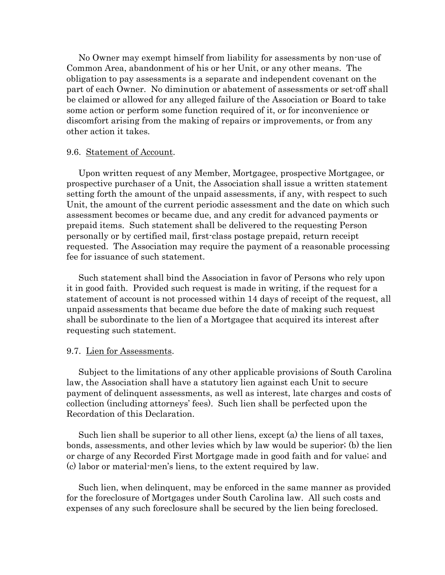No Owner may exempt himself from liability for assessments by non-use of Common Area, abandonment of his or her Unit, or any other means. The obligation to pay assessments is a separate and independent covenant on the part of each Owner. No diminution or abatement of assessments or set-off shall be claimed or allowed for any alleged failure of the Association or Board to take some action or perform some function required of it, or for inconvenience or discomfort arising from the making of repairs or improvements, or from any other action it takes.

#### 9.6. Statement of Account.

Upon written request of any Member, Mortgagee, prospective Mortgagee, or prospective purchaser of a Unit, the Association shall issue a written statement setting forth the amount of the unpaid assessments, if any, with respect to such Unit, the amount of the current periodic assessment and the date on which such assessment becomes or became due, and any credit for advanced payments or prepaid items. Such statement shall be delivered to the requesting Person personally or by certified mail, first-class postage prepaid, return receipt requested. The Association may require the payment of a reasonable processing fee for issuance of such statement.

Such statement shall bind the Association in favor of Persons who rely upon it in good faith. Provided such request is made in writing, if the request for a statement of account is not processed within 14 days of receipt of the request, all unpaid assessments that became due before the date of making such request shall be subordinate to the lien of a Mortgagee that acquired its interest after requesting such statement.

### 9.7. Lien for Assessments.

Subject to the limitations of any other applicable provisions of South Carolina law, the Association shall have a statutory lien against each Unit to secure payment of delinquent assessments, as well as interest, late charges and costs of collection (including attorneys' fees). Such lien shall be perfected upon the Recordation of this Declaration.

Such lien shall be superior to all other liens, except (a) the liens of all taxes, bonds, assessments, and other levies which by law would be superior; (b) the lien or charge of any Recorded First Mortgage made in good faith and for value; and (c) labor or material-men's liens, to the extent required by law.

Such lien, when delinquent, may be enforced in the same manner as provided for the foreclosure of Mortgages under South Carolina law. All such costs and expenses of any such foreclosure shall be secured by the lien being foreclosed.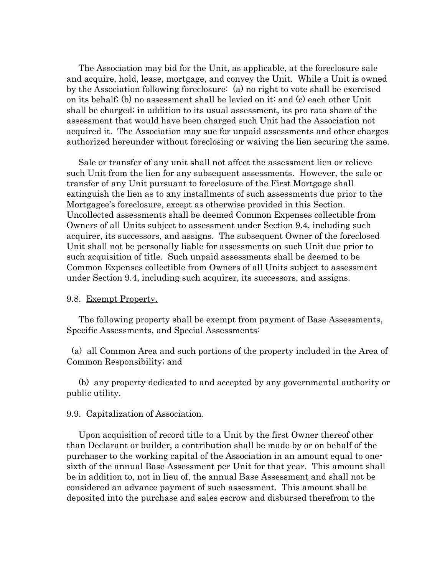The Association may bid for the Unit, as applicable, at the foreclosure sale and acquire, hold, lease, mortgage, and convey the Unit. While a Unit is owned by the Association following foreclosure: (a) no right to vote shall be exercised on its behalf; (b) no assessment shall be levied on it; and (c) each other Unit shall be charged; in addition to its usual assessment, its pro rata share of the assessment that would have been charged such Unit had the Association not acquired it. The Association may sue for unpaid assessments and other charges authorized hereunder without foreclosing or waiving the lien securing the same.

Sale or transfer of any unit shall not affect the assessment lien or relieve such Unit from the lien for any subsequent assessments. However, the sale or transfer of any Unit pursuant to foreclosure of the First Mortgage shall extinguish the lien as to any installments of such assessments due prior to the Mortgagee's foreclosure, except as otherwise provided in this Section. Uncollected assessments shall be deemed Common Expenses collectible from Owners of all Units subject to assessment under Section 9.4, including such acquirer, its successors, and assigns. The subsequent Owner of the foreclosed Unit shall not be personally liable for assessments on such Unit due prior to such acquisition of title. Such unpaid assessments shall be deemed to be Common Expenses collectible from Owners of all Units subject to assessment under Section 9.4, including such acquirer, its successors, and assigns.

### 9.8. Exempt Property.

The following property shall be exempt from payment of Base Assessments, Specific Assessments, and Special Assessments:

 (a) all Common Area and such portions of the property included in the Area of Common Responsibility; and

(b) any property dedicated to and accepted by any governmental authority or public utility.

#### 9.9. Capitalization of Association.

Upon acquisition of record title to a Unit by the first Owner thereof other than Declarant or builder, a contribution shall be made by or on behalf of the purchaser to the working capital of the Association in an amount equal to onesixth of the annual Base Assessment per Unit for that year. This amount shall be in addition to, not in lieu of, the annual Base Assessment and shall not be considered an advance payment of such assessment. This amount shall be deposited into the purchase and sales escrow and disbursed therefrom to the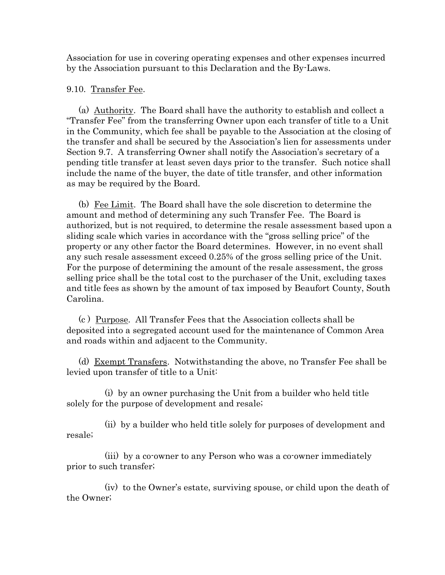Association for use in covering operating expenses and other expenses incurred by the Association pursuant to this Declaration and the By-Laws.

## 9.10. Transfer Fee.

(a) Authority. The Board shall have the authority to establish and collect a "Transfer Fee" from the transferring Owner upon each transfer of title to a Unit in the Community, which fee shall be payable to the Association at the closing of the transfer and shall be secured by the Association's lien for assessments under Section 9.7. A transferring Owner shall notify the Association's secretary of a pending title transfer at least seven days prior to the transfer. Such notice shall include the name of the buyer, the date of title transfer, and other information as may be required by the Board.

(b) Fee Limit. The Board shall have the sole discretion to determine the amount and method of determining any such Transfer Fee. The Board is authorized, but is not required, to determine the resale assessment based upon a sliding scale which varies in accordance with the "gross selling price" of the property or any other factor the Board determines. However, in no event shall any such resale assessment exceed 0.25% of the gross selling price of the Unit. For the purpose of determining the amount of the resale assessment, the gross selling price shall be the total cost to the purchaser of the Unit, excluding taxes and title fees as shown by the amount of tax imposed by Beaufort County, South Carolina.

(c ) Purpose. All Transfer Fees that the Association collects shall be deposited into a segregated account used for the maintenance of Common Area and roads within and adjacent to the Community.

(d) Exempt Transfers. Notwithstanding the above, no Transfer Fee shall be levied upon transfer of title to a Unit:

(i) by an owner purchasing the Unit from a builder who held title solely for the purpose of development and resale;

(ii) by a builder who held title solely for purposes of development and resale;

(iii) by a co-owner to any Person who was a co-owner immediately prior to such transfer;

(iv) to the Owner's estate, surviving spouse, or child upon the death of the Owner;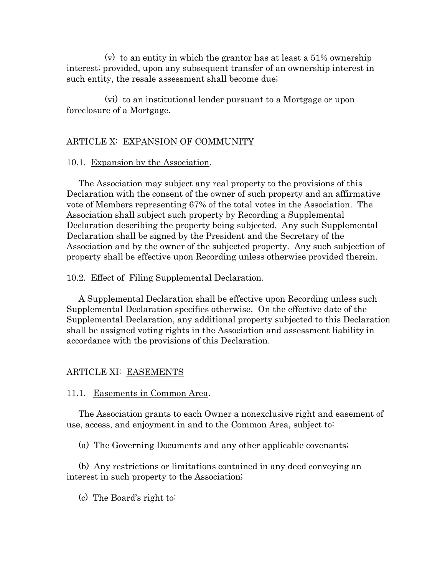(v) to an entity in which the grantor has at least a 51% ownership interest; provided, upon any subsequent transfer of an ownership interest in such entity, the resale assessment shall become due;

(vi) to an institutional lender pursuant to a Mortgage or upon foreclosure of a Mortgage.

### ARTICLE X: EXPANSION OF COMMUNITY

#### 10.1. Expansion by the Association.

The Association may subject any real property to the provisions of this Declaration with the consent of the owner of such property and an affirmative vote of Members representing 67% of the total votes in the Association. The Association shall subject such property by Recording a Supplemental Declaration describing the property being subjected. Any such Supplemental Declaration shall be signed by the President and the Secretary of the Association and by the owner of the subjected property. Any such subjection of property shall be effective upon Recording unless otherwise provided therein.

#### 10.2. Effect of Filing Supplemental Declaration.

A Supplemental Declaration shall be effective upon Recording unless such Supplemental Declaration specifies otherwise. On the effective date of the Supplemental Declaration, any additional property subjected to this Declaration shall be assigned voting rights in the Association and assessment liability in accordance with the provisions of this Declaration.

#### ARTICLE XI: EASEMENTS

11.1. Easements in Common Area.

The Association grants to each Owner a nonexclusive right and easement of use, access, and enjoyment in and to the Common Area, subject to:

(a) The Governing Documents and any other applicable covenants;

(b) Any restrictions or limitations contained in any deed conveying an interest in such property to the Association;

(c) The Board's right to: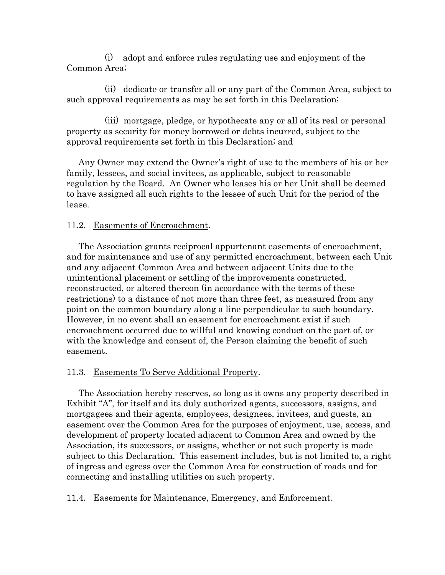(i) adopt and enforce rules regulating use and enjoyment of the Common Area;

(ii) dedicate or transfer all or any part of the Common Area, subject to such approval requirements as may be set forth in this Declaration;

(iii) mortgage, pledge, or hypothecate any or all of its real or personal property as security for money borrowed or debts incurred, subject to the approval requirements set forth in this Declaration; and

Any Owner may extend the Owner's right of use to the members of his or her family, lessees, and social invitees, as applicable, subject to reasonable regulation by the Board. An Owner who leases his or her Unit shall be deemed to have assigned all such rights to the lessee of such Unit for the period of the lease.

# 11.2. Easements of Encroachment.

The Association grants reciprocal appurtenant easements of encroachment, and for maintenance and use of any permitted encroachment, between each Unit and any adjacent Common Area and between adjacent Units due to the unintentional placement or settling of the improvements constructed, reconstructed, or altered thereon (in accordance with the terms of these restrictions) to a distance of not more than three feet, as measured from any point on the common boundary along a line perpendicular to such boundary. However, in no event shall an easement for encroachment exist if such encroachment occurred due to willful and knowing conduct on the part of, or with the knowledge and consent of, the Person claiming the benefit of such easement.

# 11.3. Easements To Serve Additional Property.

The Association hereby reserves, so long as it owns any property described in Exhibit "A", for itself and its duly authorized agents, successors, assigns, and mortgagees and their agents, employees, designees, invitees, and guests, an easement over the Common Area for the purposes of enjoyment, use, access, and development of property located adjacent to Common Area and owned by the Association, its successors, or assigns, whether or not such property is made subject to this Declaration. This easement includes, but is not limited to, a right of ingress and egress over the Common Area for construction of roads and for connecting and installing utilities on such property.

# 11.4. Easements for Maintenance, Emergency, and Enforcement.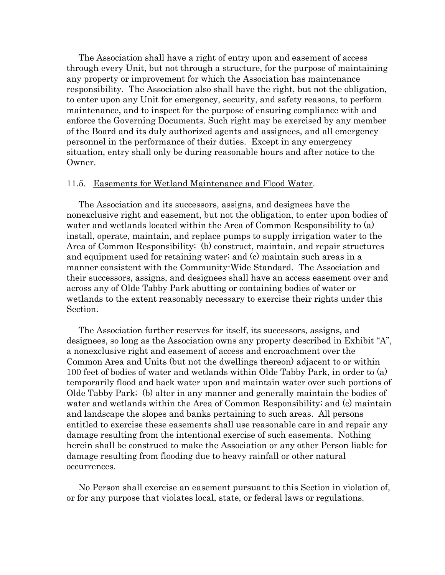The Association shall have a right of entry upon and easement of access through every Unit, but not through a structure, for the purpose of maintaining any property or improvement for which the Association has maintenance responsibility. The Association also shall have the right, but not the obligation, to enter upon any Unit for emergency, security, and safety reasons, to perform maintenance, and to inspect for the purpose of ensuring compliance with and enforce the Governing Documents. Such right may be exercised by any member of the Board and its duly authorized agents and assignees, and all emergency personnel in the performance of their duties. Except in any emergency situation, entry shall only be during reasonable hours and after notice to the Owner.

#### 11.5. Easements for Wetland Maintenance and Flood Water.

The Association and its successors, assigns, and designees have the nonexclusive right and easement, but not the obligation, to enter upon bodies of water and wetlands located within the Area of Common Responsibility to (a) install, operate, maintain, and replace pumps to supply irrigation water to the Area of Common Responsibility; (b) construct, maintain, and repair structures and equipment used for retaining water; and (c) maintain such areas in a manner consistent with the Community-Wide Standard. The Association and their successors, assigns, and designees shall have an access easement over and across any of Olde Tabby Park abutting or containing bodies of water or wetlands to the extent reasonably necessary to exercise their rights under this Section.

The Association further reserves for itself, its successors, assigns, and designees, so long as the Association owns any property described in Exhibit "A", a nonexclusive right and easement of access and encroachment over the Common Area and Units (but not the dwellings thereon) adjacent to or within 100 feet of bodies of water and wetlands within Olde Tabby Park, in order to (a) temporarily flood and back water upon and maintain water over such portions of Olde Tabby Park; (b) alter in any manner and generally maintain the bodies of water and wetlands within the Area of Common Responsibility; and (c) maintain and landscape the slopes and banks pertaining to such areas. All persons entitled to exercise these easements shall use reasonable care in and repair any damage resulting from the intentional exercise of such easements. Nothing herein shall be construed to make the Association or any other Person liable for damage resulting from flooding due to heavy rainfall or other natural occurrences.

No Person shall exercise an easement pursuant to this Section in violation of, or for any purpose that violates local, state, or federal laws or regulations.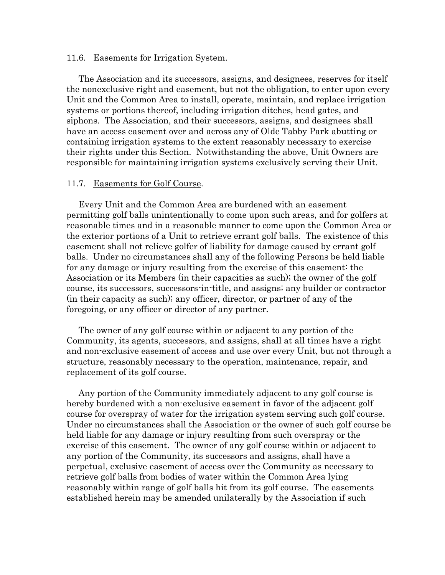### 11.6. Easements for Irrigation System.

The Association and its successors, assigns, and designees, reserves for itself the nonexclusive right and easement, but not the obligation, to enter upon every Unit and the Common Area to install, operate, maintain, and replace irrigation systems or portions thereof, including irrigation ditches, head gates, and siphons. The Association, and their successors, assigns, and designees shall have an access easement over and across any of Olde Tabby Park abutting or containing irrigation systems to the extent reasonably necessary to exercise their rights under this Section. Notwithstanding the above, Unit Owners are responsible for maintaining irrigation systems exclusively serving their Unit.

#### 11.7. Easements for Golf Course.

Every Unit and the Common Area are burdened with an easement permitting golf balls unintentionally to come upon such areas, and for golfers at reasonable times and in a reasonable manner to come upon the Common Area or the exterior portions of a Unit to retrieve errant golf balls. The existence of this easement shall not relieve golfer of liability for damage caused by errant golf balls. Under no circumstances shall any of the following Persons be held liable for any damage or injury resulting from the exercise of this easement: the Association or its Members (in their capacities as such); the owner of the golf course, its successors, successors-in-title, and assigns; any builder or contractor (in their capacity as such); any officer, director, or partner of any of the foregoing, or any officer or director of any partner.

The owner of any golf course within or adjacent to any portion of the Community, its agents, successors, and assigns, shall at all times have a right and non-exclusive easement of access and use over every Unit, but not through a structure, reasonably necessary to the operation, maintenance, repair, and replacement of its golf course.

Any portion of the Community immediately adjacent to any golf course is hereby burdened with a non-exclusive easement in favor of the adjacent golf course for overspray of water for the irrigation system serving such golf course. Under no circumstances shall the Association or the owner of such golf course be held liable for any damage or injury resulting from such overspray or the exercise of this easement. The owner of any golf course within or adjacent to any portion of the Community, its successors and assigns, shall have a perpetual, exclusive easement of access over the Community as necessary to retrieve golf balls from bodies of water within the Common Area lying reasonably within range of golf balls hit from its golf course. The easements established herein may be amended unilaterally by the Association if such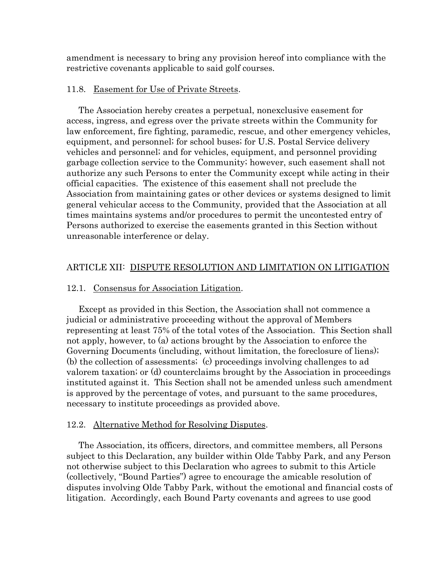amendment is necessary to bring any provision hereof into compliance with the restrictive covenants applicable to said golf courses.

# 11.8. Easement for Use of Private Streets.

The Association hereby creates a perpetual, nonexclusive easement for access, ingress, and egress over the private streets within the Community for law enforcement, fire fighting, paramedic, rescue, and other emergency vehicles, equipment, and personnel; for school buses; for U.S. Postal Service delivery vehicles and personnel; and for vehicles, equipment, and personnel providing garbage collection service to the Community; however, such easement shall not authorize any such Persons to enter the Community except while acting in their official capacities. The existence of this easement shall not preclude the Association from maintaining gates or other devices or systems designed to limit general vehicular access to the Community, provided that the Association at all times maintains systems and/or procedures to permit the uncontested entry of Persons authorized to exercise the easements granted in this Section without unreasonable interference or delay.

# ARTICLE XII: DISPUTE RESOLUTION AND LIMITATION ON LITIGATION

## 12.1. Consensus for Association Litigation.

Except as provided in this Section, the Association shall not commence a judicial or administrative proceeding without the approval of Members representing at least 75% of the total votes of the Association. This Section shall not apply, however, to (a) actions brought by the Association to enforce the Governing Documents (including, without limitation, the foreclosure of liens); (b) the collection of assessments; (c) proceedings involving challenges to ad valorem taxation; or (d) counterclaims brought by the Association in proceedings instituted against it. This Section shall not be amended unless such amendment is approved by the percentage of votes, and pursuant to the same procedures, necessary to institute proceedings as provided above.

# 12.2. Alternative Method for Resolving Disputes.

The Association, its officers, directors, and committee members, all Persons subject to this Declaration, any builder within Olde Tabby Park, and any Person not otherwise subject to this Declaration who agrees to submit to this Article (collectively, "Bound Parties") agree to encourage the amicable resolution of disputes involving Olde Tabby Park, without the emotional and financial costs of litigation. Accordingly, each Bound Party covenants and agrees to use good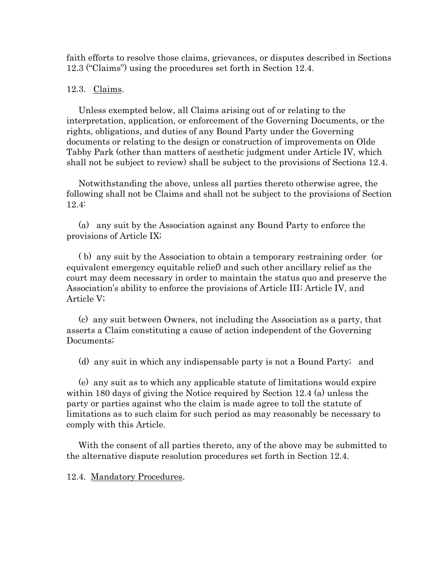faith efforts to resolve those claims, grievances, or disputes described in Sections 12.3 ("Claims") using the procedures set forth in Section 12.4.

### 12.3. Claims.

Unless exempted below, all Claims arising out of or relating to the interpretation, application, or enforcement of the Governing Documents, or the rights, obligations, and duties of any Bound Party under the Governing documents or relating to the design or construction of improvements on Olde Tabby Park (other than matters of aesthetic judgment under Article IV, which shall not be subject to review) shall be subject to the provisions of Sections 12.4.

Notwithstanding the above, unless all parties thereto otherwise agree, the following shall not be Claims and shall not be subject to the provisions of Section 12.4:

(a) any suit by the Association against any Bound Party to enforce the provisions of Article IX;

( b) any suit by the Association to obtain a temporary restraining order (or equivalent emergency equitable relief) and such other ancillary relief as the court may deem necessary in order to maintain the status quo and preserve the Association's ability to enforce the provisions of Article III; Article IV, and Article V;

(c) any suit between Owners, not including the Association as a party, that asserts a Claim constituting a cause of action independent of the Governing Documents;

(d) any suit in which any indispensable party is not a Bound Party; and

(e) any suit as to which any applicable statute of limitations would expire within 180 days of giving the Notice required by Section 12.4 (a) unless the party or parties against who the claim is made agree to toll the statute of limitations as to such claim for such period as may reasonably be necessary to comply with this Article.

With the consent of all parties thereto, any of the above may be submitted to the alternative dispute resolution procedures set forth in Section 12.4.

12.4. Mandatory Procedures.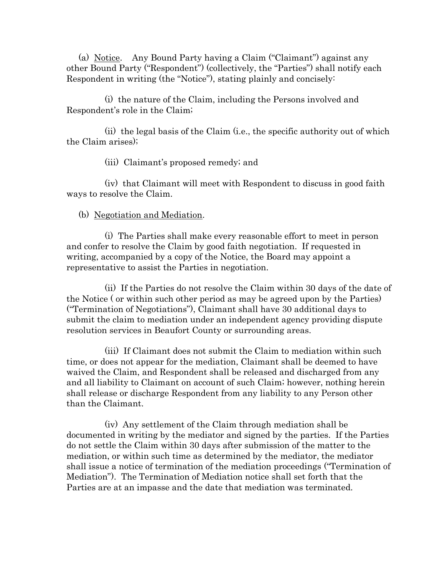(a) Notice. Any Bound Party having a Claim ("Claimant") against any other Bound Party ("Respondent") (collectively, the "Parties") shall notify each Respondent in writing (the "Notice"), stating plainly and concisely:

(i) the nature of the Claim, including the Persons involved and Respondent's role in the Claim;

(ii) the legal basis of the Claim (i.e., the specific authority out of which the Claim arises);

(iii) Claimant's proposed remedy; and

(iv) that Claimant will meet with Respondent to discuss in good faith ways to resolve the Claim.

# (b) Negotiation and Mediation.

(i) The Parties shall make every reasonable effort to meet in person and confer to resolve the Claim by good faith negotiation. If requested in writing, accompanied by a copy of the Notice, the Board may appoint a representative to assist the Parties in negotiation.

(ii) If the Parties do not resolve the Claim within 30 days of the date of the Notice ( or within such other period as may be agreed upon by the Parties) ("Termination of Negotiations"), Claimant shall have 30 additional days to submit the claim to mediation under an independent agency providing dispute resolution services in Beaufort County or surrounding areas.

(iii) If Claimant does not submit the Claim to mediation within such time, or does not appear for the mediation, Claimant shall be deemed to have waived the Claim, and Respondent shall be released and discharged from any and all liability to Claimant on account of such Claim; however, nothing herein shall release or discharge Respondent from any liability to any Person other than the Claimant.

(iv) Any settlement of the Claim through mediation shall be documented in writing by the mediator and signed by the parties. If the Parties do not settle the Claim within 30 days after submission of the matter to the mediation, or within such time as determined by the mediator, the mediator shall issue a notice of termination of the mediation proceedings ("Termination of Mediation"). The Termination of Mediation notice shall set forth that the Parties are at an impasse and the date that mediation was terminated.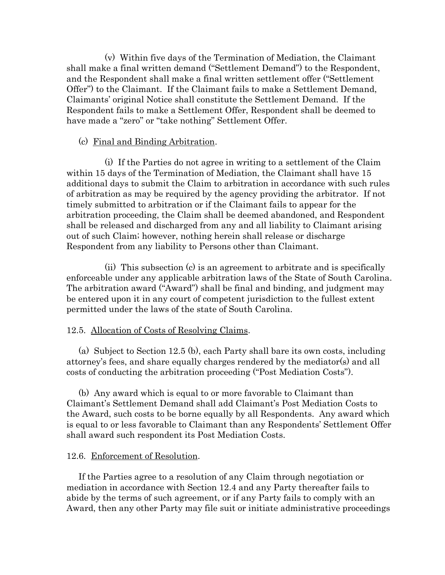(v) Within five days of the Termination of Mediation, the Claimant shall make a final written demand ("Settlement Demand") to the Respondent, and the Respondent shall make a final written settlement offer ("Settlement Offer") to the Claimant. If the Claimant fails to make a Settlement Demand, Claimants' original Notice shall constitute the Settlement Demand. If the Respondent fails to make a Settlement Offer, Respondent shall be deemed to have made a "zero" or "take nothing" Settlement Offer.

# (c) Final and Binding Arbitration.

(i) If the Parties do not agree in writing to a settlement of the Claim within 15 days of the Termination of Mediation, the Claimant shall have 15 additional days to submit the Claim to arbitration in accordance with such rules of arbitration as may be required by the agency providing the arbitrator. If not timely submitted to arbitration or if the Claimant fails to appear for the arbitration proceeding, the Claim shall be deemed abandoned, and Respondent shall be released and discharged from any and all liability to Claimant arising out of such Claim; however, nothing herein shall release or discharge Respondent from any liability to Persons other than Claimant.

(ii) This subsection (c) is an agreement to arbitrate and is specifically enforceable under any applicable arbitration laws of the State of South Carolina. The arbitration award ("Award") shall be final and binding, and judgment may be entered upon it in any court of competent jurisdiction to the fullest extent permitted under the laws of the state of South Carolina.

# 12.5. Allocation of Costs of Resolving Claims.

(a) Subject to Section 12.5 (b), each Party shall bare its own costs, including attorney's fees, and share equally charges rendered by the mediator(s) and all costs of conducting the arbitration proceeding ("Post Mediation Costs").

(b) Any award which is equal to or more favorable to Claimant than Claimant's Settlement Demand shall add Claimant's Post Mediation Costs to the Award, such costs to be borne equally by all Respondents. Any award which is equal to or less favorable to Claimant than any Respondents' Settlement Offer shall award such respondent its Post Mediation Costs.

# 12.6. Enforcement of Resolution.

If the Parties agree to a resolution of any Claim through negotiation or mediation in accordance with Section 12.4 and any Party thereafter fails to abide by the terms of such agreement, or if any Party fails to comply with an Award, then any other Party may file suit or initiate administrative proceedings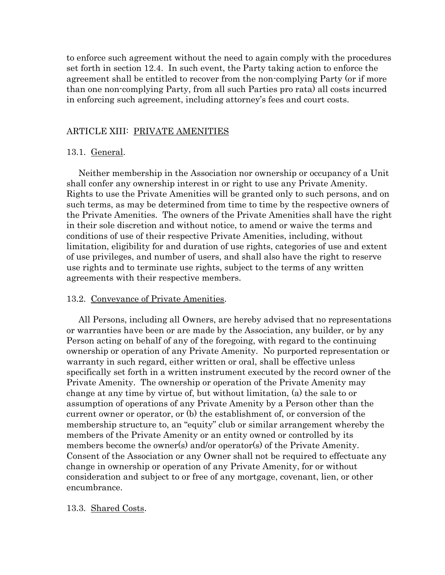to enforce such agreement without the need to again comply with the procedures set forth in section 12.4. In such event, the Party taking action to enforce the agreement shall be entitled to recover from the non-complying Party (or if more than one non-complying Party, from all such Parties pro rata) all costs incurred in enforcing such agreement, including attorney's fees and court costs.

### ARTICLE XIII: PRIVATE AMENITIES

### 13.1. General.

Neither membership in the Association nor ownership or occupancy of a Unit shall confer any ownership interest in or right to use any Private Amenity. Rights to use the Private Amenities will be granted only to such persons, and on such terms, as may be determined from time to time by the respective owners of the Private Amenities. The owners of the Private Amenities shall have the right in their sole discretion and without notice, to amend or waive the terms and conditions of use of their respective Private Amenities, including, without limitation, eligibility for and duration of use rights, categories of use and extent of use privileges, and number of users, and shall also have the right to reserve use rights and to terminate use rights, subject to the terms of any written agreements with their respective members.

### 13.2. Conveyance of Private Amenities.

All Persons, including all Owners, are hereby advised that no representations or warranties have been or are made by the Association, any builder, or by any Person acting on behalf of any of the foregoing, with regard to the continuing ownership or operation of any Private Amenity. No purported representation or warranty in such regard, either written or oral, shall be effective unless specifically set forth in a written instrument executed by the record owner of the Private Amenity. The ownership or operation of the Private Amenity may change at any time by virtue of, but without limitation, (a) the sale to or assumption of operations of any Private Amenity by a Person other than the current owner or operator, or (b) the establishment of, or conversion of the membership structure to, an "equity" club or similar arrangement whereby the members of the Private Amenity or an entity owned or controlled by its members become the owner(s) and/or operator(s) of the Private Amenity. Consent of the Association or any Owner shall not be required to effectuate any change in ownership or operation of any Private Amenity, for or without consideration and subject to or free of any mortgage, covenant, lien, or other encumbrance.

### 13.3. Shared Costs.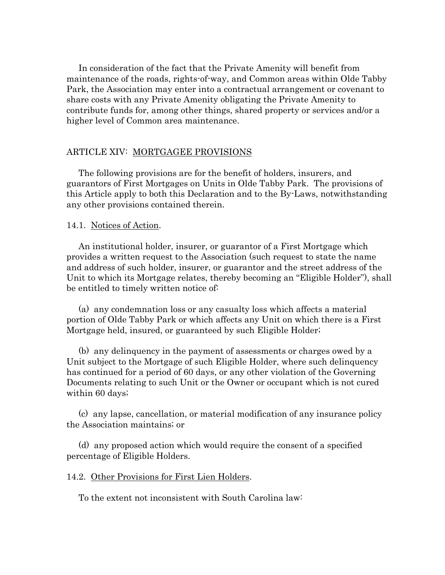In consideration of the fact that the Private Amenity will benefit from maintenance of the roads, rights-of-way, and Common areas within Olde Tabby Park, the Association may enter into a contractual arrangement or covenant to share costs with any Private Amenity obligating the Private Amenity to contribute funds for, among other things, shared property or services and/or a higher level of Common area maintenance.

# ARTICLE XIV: MORTGAGEE PROVISIONS

The following provisions are for the benefit of holders, insurers, and guarantors of First Mortgages on Units in Olde Tabby Park. The provisions of this Article apply to both this Declaration and to the By-Laws, notwithstanding any other provisions contained therein.

### 14.1. Notices of Action.

An institutional holder, insurer, or guarantor of a First Mortgage which provides a written request to the Association (such request to state the name and address of such holder, insurer, or guarantor and the street address of the Unit to which its Mortgage relates, thereby becoming an "Eligible Holder"), shall be entitled to timely written notice of:

(a) any condemnation loss or any casualty loss which affects a material portion of Olde Tabby Park or which affects any Unit on which there is a First Mortgage held, insured, or guaranteed by such Eligible Holder;

(b) any delinquency in the payment of assessments or charges owed by a Unit subject to the Mortgage of such Eligible Holder, where such delinquency has continued for a period of 60 days, or any other violation of the Governing Documents relating to such Unit or the Owner or occupant which is not cured within 60 days;

(c) any lapse, cancellation, or material modification of any insurance policy the Association maintains; or

(d) any proposed action which would require the consent of a specified percentage of Eligible Holders.

# 14.2. Other Provisions for First Lien Holders.

To the extent not inconsistent with South Carolina law: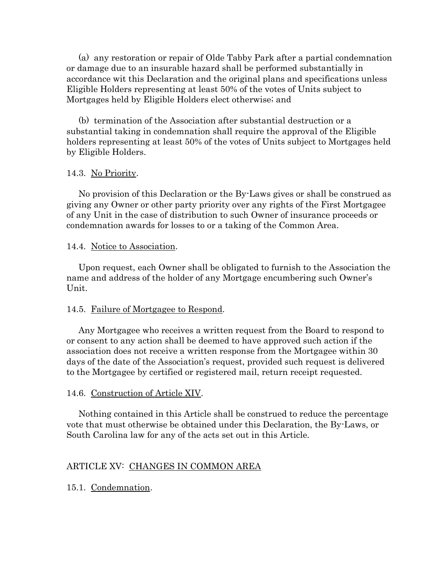(a) any restoration or repair of Olde Tabby Park after a partial condemnation or damage due to an insurable hazard shall be performed substantially in accordance wit this Declaration and the original plans and specifications unless Eligible Holders representing at least 50% of the votes of Units subject to Mortgages held by Eligible Holders elect otherwise; and

(b) termination of the Association after substantial destruction or a substantial taking in condemnation shall require the approval of the Eligible holders representing at least 50% of the votes of Units subject to Mortgages held by Eligible Holders.

# 14.3. No Priority.

No provision of this Declaration or the By-Laws gives or shall be construed as giving any Owner or other party priority over any rights of the First Mortgagee of any Unit in the case of distribution to such Owner of insurance proceeds or condemnation awards for losses to or a taking of the Common Area.

# 14.4. Notice to Association.

Upon request, each Owner shall be obligated to furnish to the Association the name and address of the holder of any Mortgage encumbering such Owner's Unit.

# 14.5. Failure of Mortgagee to Respond.

Any Mortgagee who receives a written request from the Board to respond to or consent to any action shall be deemed to have approved such action if the association does not receive a written response from the Mortgagee within 30 days of the date of the Association's request, provided such request is delivered to the Mortgagee by certified or registered mail, return receipt requested.

# 14.6. Construction of Article XIV.

Nothing contained in this Article shall be construed to reduce the percentage vote that must otherwise be obtained under this Declaration, the By-Laws, or South Carolina law for any of the acts set out in this Article.

# ARTICLE XV: CHANGES IN COMMON AREA

15.1. Condemnation.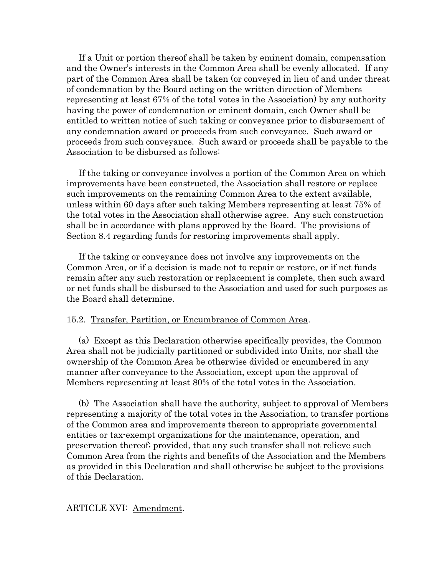If a Unit or portion thereof shall be taken by eminent domain, compensation and the Owner's interests in the Common Area shall be evenly allocated. If any part of the Common Area shall be taken (or conveyed in lieu of and under threat of condemnation by the Board acting on the written direction of Members representing at least 67% of the total votes in the Association) by any authority having the power of condemnation or eminent domain, each Owner shall be entitled to written notice of such taking or conveyance prior to disbursement of any condemnation award or proceeds from such conveyance. Such award or proceeds from such conveyance. Such award or proceeds shall be payable to the Association to be disbursed as follows:

If the taking or conveyance involves a portion of the Common Area on which improvements have been constructed, the Association shall restore or replace such improvements on the remaining Common Area to the extent available, unless within 60 days after such taking Members representing at least 75% of the total votes in the Association shall otherwise agree. Any such construction shall be in accordance with plans approved by the Board. The provisions of Section 8.4 regarding funds for restoring improvements shall apply.

If the taking or conveyance does not involve any improvements on the Common Area, or if a decision is made not to repair or restore, or if net funds remain after any such restoration or replacement is complete, then such award or net funds shall be disbursed to the Association and used for such purposes as the Board shall determine.

### 15.2. Transfer, Partition, or Encumbrance of Common Area.

(a) Except as this Declaration otherwise specifically provides, the Common Area shall not be judicially partitioned or subdivided into Units, nor shall the ownership of the Common Area be otherwise divided or encumbered in any manner after conveyance to the Association, except upon the approval of Members representing at least 80% of the total votes in the Association.

(b) The Association shall have the authority, subject to approval of Members representing a majority of the total votes in the Association, to transfer portions of the Common area and improvements thereon to appropriate governmental entities or tax-exempt organizations for the maintenance, operation, and preservation thereof; provided, that any such transfer shall not relieve such Common Area from the rights and benefits of the Association and the Members as provided in this Declaration and shall otherwise be subject to the provisions of this Declaration.

### ARTICLE XVI: Amendment.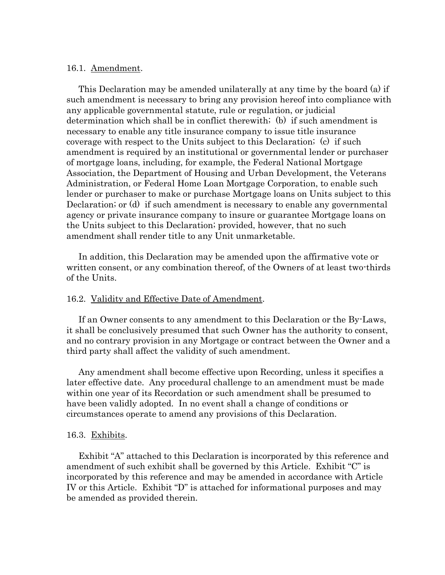### 16.1. Amendment.

This Declaration may be amended unilaterally at any time by the board (a) if such amendment is necessary to bring any provision hereof into compliance with any applicable governmental statute, rule or regulation, or judicial determination which shall be in conflict therewith; (b) if such amendment is necessary to enable any title insurance company to issue title insurance coverage with respect to the Units subject to this Declaration; (c) if such amendment is required by an institutional or governmental lender or purchaser of mortgage loans, including, for example, the Federal National Mortgage Association, the Department of Housing and Urban Development, the Veterans Administration, or Federal Home Loan Mortgage Corporation, to enable such lender or purchaser to make or purchase Mortgage loans on Units subject to this Declaration; or (d) if such amendment is necessary to enable any governmental agency or private insurance company to insure or guarantee Mortgage loans on the Units subject to this Declaration; provided, however, that no such amendment shall render title to any Unit unmarketable.

In addition, this Declaration may be amended upon the affirmative vote or written consent, or any combination thereof, of the Owners of at least two-thirds of the Units.

### 16.2. Validity and Effective Date of Amendment.

If an Owner consents to any amendment to this Declaration or the By-Laws, it shall be conclusively presumed that such Owner has the authority to consent, and no contrary provision in any Mortgage or contract between the Owner and a third party shall affect the validity of such amendment.

Any amendment shall become effective upon Recording, unless it specifies a later effective date. Any procedural challenge to an amendment must be made within one year of its Recordation or such amendment shall be presumed to have been validly adopted. In no event shall a change of conditions or circumstances operate to amend any provisions of this Declaration.

### 16.3. Exhibits.

Exhibit "A" attached to this Declaration is incorporated by this reference and amendment of such exhibit shall be governed by this Article. Exhibit "C" is incorporated by this reference and may be amended in accordance with Article IV or this Article. Exhibit "D" is attached for informational purposes and may be amended as provided therein.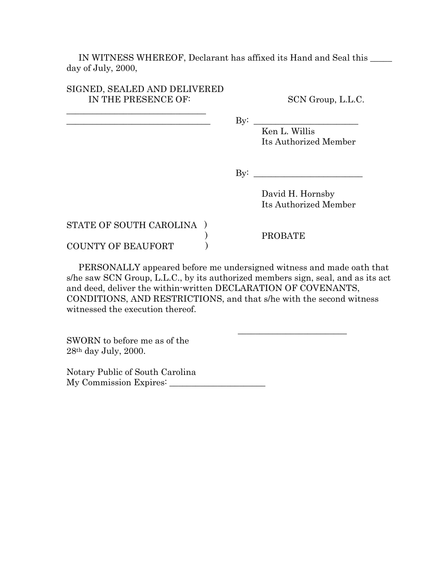IN WITNESS WHEREOF, Declarant has affixed its Hand and Seal this \_\_\_\_\_ day of July, 2000,

| SIGNED, SEALED AND DELIVERED |
|------------------------------|
| IN THE PRESENCE OF:          |

\_\_\_\_\_\_\_\_\_\_\_\_\_\_\_\_\_\_\_\_\_\_\_\_\_\_\_\_\_\_\_\_

SCN Group, L.L.C.

 $\qquad \qquad \text{By:}\qquad$ 

Ken L. Willis Its Authorized Member

 $\rm\,Byi$ 

David H. Hornsby Its Authorized Member

STATE OF SOUTH CAROLINA ) COUNTY OF BEAUFORT (20)

) PROBATE

\_\_\_\_\_\_\_\_\_\_\_\_\_\_\_\_\_\_\_\_\_\_\_\_\_

PERSONALLY appeared before me undersigned witness and made oath that s/he saw SCN Group, L.L.C., by its authorized members sign, seal, and as its act and deed, deliver the within-written DECLARATION OF COVENANTS, CONDITIONS, AND RESTRICTIONS, and that s/he with the second witness witnessed the execution thereof.

SWORN to before me as of the 28th day July, 2000.

Notary Public of South Carolina My Commission Expires: \_\_\_\_\_\_\_\_\_\_\_\_\_\_\_\_\_\_\_\_\_\_